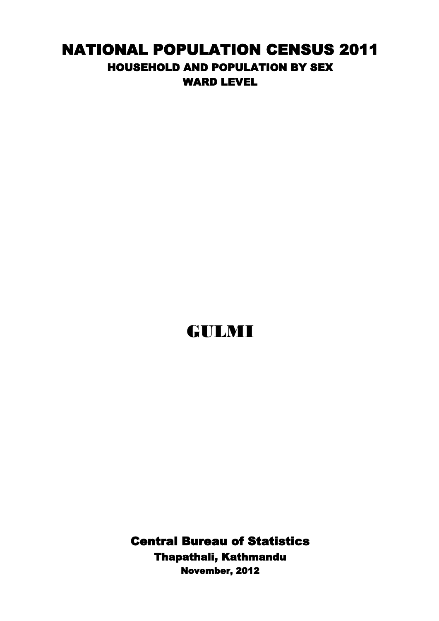## NATIONAL POPULATION CENSUS 2011 HOUSEHOLD AND POPULATION BY SEX WARD LEVEL

## GULMI

Central Bureau of Statistics Thapathali, Kathmandu November, 2012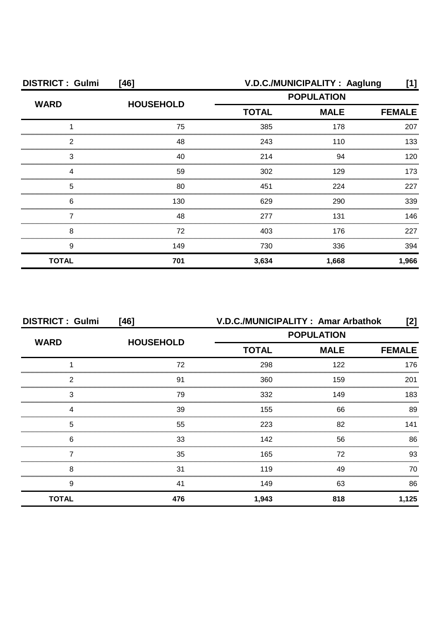| <b>DISTRICT: Gulmi</b> | $[46]$           | V.D.C./MUNICIPALITY: Aaglung<br>[1]              |       |               |
|------------------------|------------------|--------------------------------------------------|-------|---------------|
| <b>WARD</b>            | <b>HOUSEHOLD</b> | <b>POPULATION</b><br><b>TOTAL</b><br><b>MALE</b> |       |               |
|                        |                  |                                                  |       | <b>FEMALE</b> |
|                        | 75               | 385                                              | 178   | 207           |
| っ                      | 48               | 243                                              | 110   | 133           |
| 3                      | 40               | 214                                              | 94    | 120           |
|                        | 59               | 302                                              | 129   | 173           |
| 5                      | 80               | 451                                              | 224   | 227           |
| 6                      | 130              | 629                                              | 290   | 339           |
|                        | 48               | 277                                              | 131   | 146           |
| 8                      | 72               | 403                                              | 176   | 227           |
| 9                      | 149              | 730                                              | 336   | 394           |
| <b>TOTAL</b>           | 701              | 3,634                                            | 1,668 | 1,966         |

| <b>DISTRICT: Gulmi</b> | [46]             | V.D.C./MUNICIPALITY: Amar Arbathok<br>[2]        |               |       |
|------------------------|------------------|--------------------------------------------------|---------------|-------|
|                        |                  | <b>POPULATION</b><br><b>TOTAL</b><br><b>MALE</b> |               |       |
| <b>WARD</b>            | <b>HOUSEHOLD</b> |                                                  | <b>FEMALE</b> |       |
|                        | 72               | 298                                              | 122           | 176   |
| 2                      | .91              | 360                                              | 159           | 201   |
| 3                      | 79               | 332                                              | 149           | 183   |
| Δ                      | 39               | 155                                              | 66            | 89    |
| 5                      | 55               | 223                                              | 82            | 141   |
| 6                      | 33               | 142                                              | 56            | 86    |
|                        | 35               | 165                                              | 72            | 93    |
| 8                      | 31               | 119                                              | 49            | 70    |
| 9                      | 41               | 149                                              | 63            | 86    |
| <b>TOTAL</b>           | 476              | 1,943                                            | 818           | 1,125 |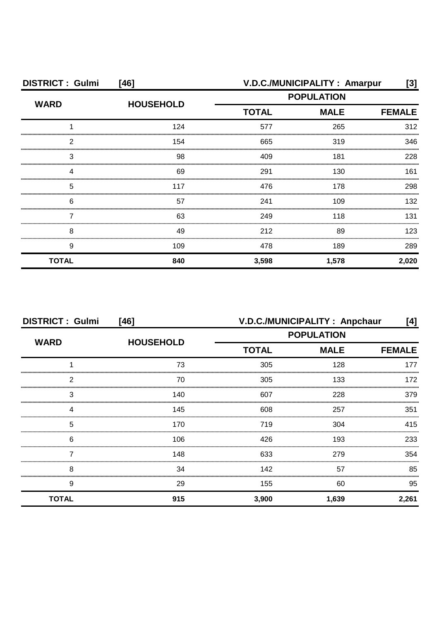| <b>DISTRICT: Gulmi</b><br>$[46]$ |                  | V.D.C./MUNICIPALITY: Amarpur<br>[3] |                              |       |  |
|----------------------------------|------------------|-------------------------------------|------------------------------|-------|--|
| <b>WARD</b>                      | <b>HOUSEHOLD</b> | <b>POPULATION</b>                   |                              |       |  |
|                                  |                  | <b>TOTAL</b>                        | <b>MALE</b><br><b>FEMALE</b> |       |  |
|                                  | 124              | 577                                 | 265                          | 312   |  |
| っ                                | 154              | 665                                 | 319                          | 346   |  |
| 3                                | 98               | 409                                 | 181                          | 228   |  |
|                                  | 69               | 291                                 | 130                          | 161   |  |
| 5                                | 117              | 476                                 | 178                          | 298   |  |
| 6                                | 57               | 241                                 | 109                          | 132   |  |
|                                  | 63               | 249                                 | 118                          | 131   |  |
| 8                                | 49               | 212                                 | 89                           | 123   |  |
| 9                                | 109              | 478                                 | 189                          | 289   |  |
| <b>TOTAL</b>                     | 840              | 3,598                               | 1,578                        | 2,020 |  |

| <b>DISTRICT: Gulmi</b><br>[46] |                  | V.D.C./MUNICIPALITY: Anpchaur<br>[4] |             |               |
|--------------------------------|------------------|--------------------------------------|-------------|---------------|
| <b>WARD</b>                    |                  | <b>POPULATION</b>                    |             |               |
|                                | <b>HOUSEHOLD</b> | <b>TOTAL</b>                         | <b>MALE</b> | <b>FEMALE</b> |
|                                | 73               | 305                                  | 128         | 177           |
| 2                              | 70               | 305                                  | 133         | 172           |
| 3                              | 140              | 607                                  | 228         | 379           |
|                                | 145              | 608                                  | 257         | 351           |
| 5                              | 170              | 719                                  | 304         | 415           |
| 6                              | 106              | 426                                  | 193         | 233           |
|                                | 148              | 633                                  | 279         | 354           |
| 8                              | 34               | 142                                  | 57          | 85            |
| 9                              | 29               | 155                                  | 60          | 95            |
| <b>TOTAL</b>                   | 915              | 3,900                                | 1,639       | 2,261         |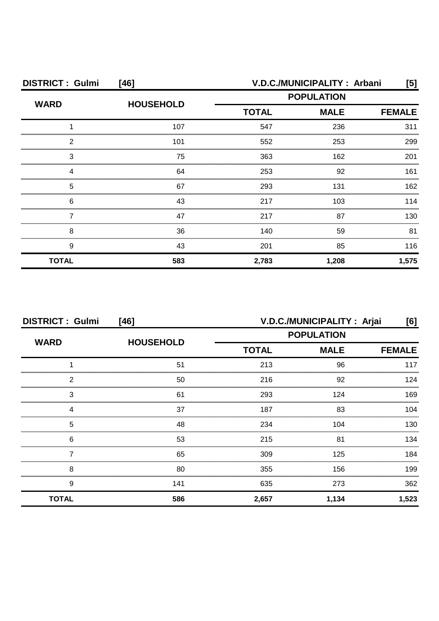| <b>DISTRICT: Gulmi</b><br>$[46]$ |                  | V.D.C./MUNICIPALITY: Arbani<br>[5] |       |               |
|----------------------------------|------------------|------------------------------------|-------|---------------|
| <b>WARD</b>                      | <b>HOUSEHOLD</b> | <b>POPULATION</b>                  |       |               |
|                                  |                  | <b>MALE</b><br><b>TOTAL</b>        |       | <b>FEMALE</b> |
|                                  | 107              | 547                                | 236   | 311           |
| っ                                | 101              | 552                                | 253   | 299           |
| 3                                | 75               | 363                                | 162   | 201           |
|                                  | 64               | 253                                | 92    | 161           |
| 5                                | 67               | 293                                | 131   | 162           |
| 6                                | 43               | 217                                | 103   | 114           |
|                                  | 47               | 217                                | 87    | 130           |
| 8                                | 36               | 140                                | 59    | 81            |
| 9                                | 43               | 201                                | 85    | 116           |
| <b>TOTAL</b>                     | 583              | 2,783                              | 1,208 | 1,575         |

| <b>DISTRICT: Gulmi</b><br>$[46]$ |                  | V.D.C./MUNICIPALITY : Arjai<br>[6] |             |               |  |
|----------------------------------|------------------|------------------------------------|-------------|---------------|--|
| <b>WARD</b>                      | <b>HOUSEHOLD</b> | <b>POPULATION</b>                  |             |               |  |
|                                  |                  | <b>TOTAL</b>                       | <b>MALE</b> | <b>FEMALE</b> |  |
|                                  | 51               | 213                                | 96          | 117           |  |
| 2                                | 50               | 216                                | 92          | 124           |  |
| 3                                | 61               | 293                                | 124         | 169           |  |
|                                  | 37               | 187                                | 83          | 104           |  |
| 5                                | 48               | 234                                | 104         | 130           |  |
| 6                                | 53               | 215                                | 81          | 134           |  |
|                                  | 65               | 309                                | 125         | 184           |  |
| 8                                | 80               | 355                                | 156         | 199           |  |
| 9                                | 141              | 635                                | 273         | 362           |  |
| <b>TOTAL</b>                     | 586              | 2,657                              | 1,134       | 1,523         |  |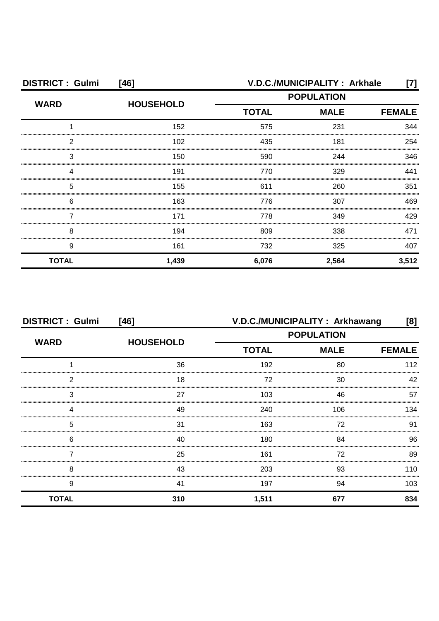| <b>DISTRICT: Gulmi</b><br>$[46]$ |                  | V.D.C./MUNICIPALITY: Arkhale<br>[7]              |       |               |
|----------------------------------|------------------|--------------------------------------------------|-------|---------------|
| <b>WARD</b>                      | <b>HOUSEHOLD</b> | <b>POPULATION</b><br><b>TOTAL</b><br><b>MALE</b> |       |               |
|                                  |                  |                                                  |       | <b>FEMALE</b> |
|                                  | 152              | 575                                              | 231   | 344           |
| 2                                | 102              | 435                                              | 181   | 254           |
| 3                                | 150              | 590                                              | 244   | 346           |
|                                  | 191              | 770                                              | 329   | 441           |
| 5                                | 155              | 611                                              | 260   | 351           |
| 6                                | 163              | 776                                              | 307   | 469           |
|                                  | 171              | 778                                              | 349   | 429           |
| 8                                | 194              | 809                                              | 338   | 471           |
| 9                                | 161              | 732                                              | 325   | 407           |
| <b>TOTAL</b>                     | 1,439            | 6,076                                            | 2,564 | 3,512         |

| <b>DISTRICT: Gulmi</b> | $[46]$           | V.D.C./MUNICIPALITY: Arkhawang<br>[8] |                   |     |
|------------------------|------------------|---------------------------------------|-------------------|-----|
| <b>WARD</b>            |                  |                                       | <b>POPULATION</b> |     |
|                        | <b>HOUSEHOLD</b> | <b>TOTAL</b><br><b>MALE</b>           | <b>FEMALE</b>     |     |
|                        | 36               | 192                                   | 80                | 112 |
| 2                      | 18               | 72                                    | 30                | 42  |
| 3                      | 27               | 103                                   | 46                | 57  |
| Δ                      | 49               | 240                                   | 106               | 134 |
| 5                      | 31               | 163                                   | 72                | 91  |
| 6                      | 40               | 180                                   | 84                | 96  |
|                        | 25               | 161                                   | 72                | 89  |
| 8                      | 43               | 203                                   | 93                | 110 |
| 9                      | 41               | 197                                   | 94                | 103 |
| <b>TOTAL</b>           | 310              | 1,511                                 | 677               | 834 |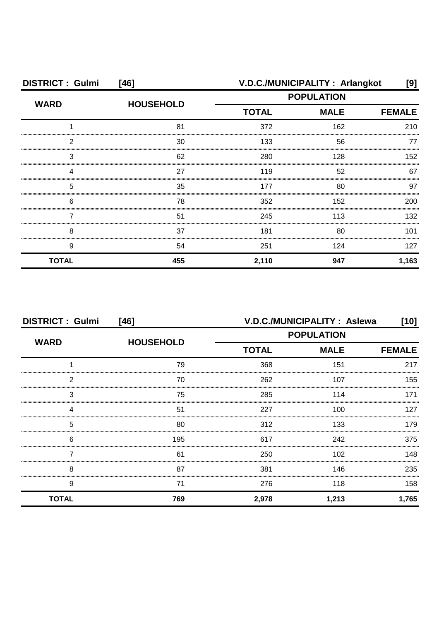| <b>DISTRICT: Gulmi</b> | $[46]$           | V.D.C./MUNICIPALITY: Arlangkot |             |               |
|------------------------|------------------|--------------------------------|-------------|---------------|
| <b>WARD</b>            | <b>HOUSEHOLD</b> | <b>POPULATION</b>              |             |               |
|                        |                  | <b>TOTAL</b>                   | <b>MALE</b> | <b>FEMALE</b> |
|                        | 81               | 372                            | 162         | 210           |
| 2                      | 30               | 133                            | 56          | 77            |
| 3                      | 62               | 280                            | 128         | 152           |
|                        | 27               | 119                            | 52          | 67            |
| 5                      | 35               | 177                            | 80          | 97            |
| 6                      | 78               | 352                            | 152         | 200           |
|                        | 51               | 245                            | 113         | 132           |
| 8                      | 37               | 181                            | 80          | 101           |
| 9                      | 54               | 251                            | 124         | 127           |
| <b>TOTAL</b>           | 455              | 2,110                          | 947         | 1,163         |

| <b>DISTRICT: Gulmi</b><br>$[46]$ |                  | V.D.C./MUNICIPALITY: Aslewa<br>[10] |             |               |
|----------------------------------|------------------|-------------------------------------|-------------|---------------|
|                                  |                  | <b>POPULATION</b>                   |             |               |
| <b>WARD</b>                      | <b>HOUSEHOLD</b> | <b>TOTAL</b>                        | <b>MALE</b> | <b>FEMALE</b> |
|                                  | 79               | 368                                 | 151         | 217           |
| 2                                | 70               | 262                                 | 107         | 155           |
| 3                                | 75               | 285                                 | 114         | 171           |
| Δ                                | 51               | 227                                 | 100         | 127           |
| 5                                | 80               | 312                                 | 133         | 179           |
| 6                                | 195              | 617                                 | 242         | 375           |
|                                  | 61               | 250                                 | 102         | 148           |
| 8                                | 87               | 381                                 | 146         | 235           |
| 9                                | 71               | 276                                 | 118         | 158           |
| <b>TOTAL</b>                     | 769              | 2,978                               | 1,213       | 1,765         |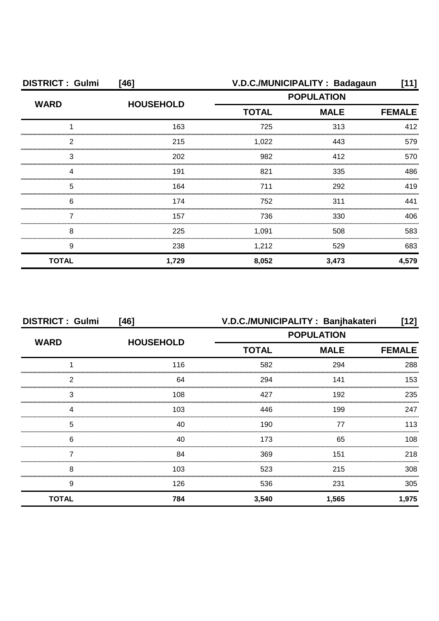| <b>DISTRICT: Gulmi</b> | [46]             |              | V.D.C./MUNICIPALITY: Badagaun | [11]          |  |
|------------------------|------------------|--------------|-------------------------------|---------------|--|
| <b>WARD</b>            | <b>HOUSEHOLD</b> |              | <b>POPULATION</b>             |               |  |
|                        |                  | <b>TOTAL</b> | <b>MALE</b>                   | <b>FEMALE</b> |  |
|                        | 163              | 725          | 313                           | 412           |  |
| 2                      | 215              | 1,022        | 443                           | 579           |  |
| 3                      | 202              | 982          | 412                           | 570           |  |
|                        | 191              | 821          | 335                           | 486           |  |
| 5                      | 164              | 711          | 292                           | 419           |  |
| 6                      | 174              | 752          | 311                           | 441           |  |
|                        | 157              | 736          | 330                           | 406           |  |
| 8                      | 225              | 1,091        | 508                           | 583           |  |
| 9                      | 238              | 1,212        | 529                           | 683           |  |
| <b>TOTAL</b>           | 1,729            | 8,052        | 3,473                         | 4,579         |  |

| <b>DISTRICT: Gulmi</b> | $[46]$           | V.D.C./MUNICIPALITY: Banjhakateri |                   | [12]          |
|------------------------|------------------|-----------------------------------|-------------------|---------------|
| <b>WARD</b>            |                  |                                   | <b>POPULATION</b> |               |
|                        | <b>HOUSEHOLD</b> | <b>TOTAL</b>                      | <b>MALE</b>       | <b>FEMALE</b> |
|                        | 116              | 582                               | 294               | 288           |
| 2                      | 64               | 294                               | 141               | 153           |
| 3                      | 108              | 427                               | 192               | 235           |
| Δ                      | 103              | 446                               | 199               | 247           |
| 5                      | 40               | 190                               | 77                | 113           |
| 6                      | 40               | 173                               | 65                | 108           |
|                        | 84               | 369                               | 151               | 218           |
| 8                      | 103              | 523                               | 215               | 308           |
| 9                      | 126              | 536                               | 231               | 305           |
| <b>TOTAL</b>           | 784              | 3,540                             | 1,565             | 1,975         |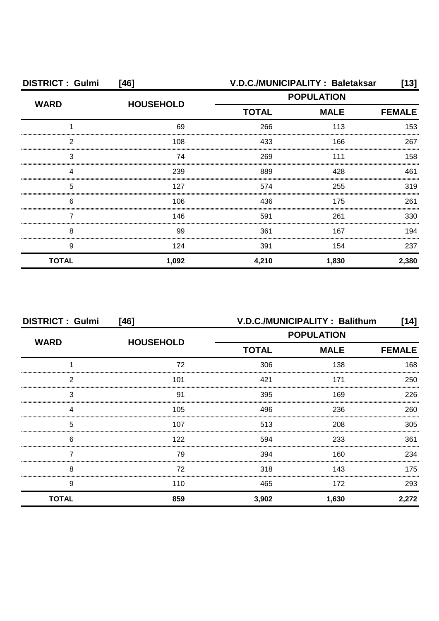| <b>DISTRICT: Gulmi</b> | $[46]$           |              | V.D.C./MUNICIPALITY: Baletaksar | $[13]$        |
|------------------------|------------------|--------------|---------------------------------|---------------|
| <b>WARD</b>            |                  |              | <b>POPULATION</b>               |               |
|                        | <b>HOUSEHOLD</b> | <b>TOTAL</b> | <b>MALE</b>                     | <b>FEMALE</b> |
|                        | 69               | 266          | 113                             | 153           |
| 2                      | 108              | 433          | 166                             | 267           |
| 3                      | 74               | 269          | 111                             | 158           |
|                        | 239              | 889          | 428                             | 461           |
| 5                      | 127              | 574          | 255                             | 319           |
| 6                      | 106              | 436          | 175                             | 261           |
|                        | 146              | 591          | 261                             | 330           |
| 8                      | 99               | 361          | 167                             | 194           |
| 9                      | 124              | 391          | 154                             | 237           |
| <b>TOTAL</b>           | 1,092            | 4,210        | 1,830                           | 2,380         |

| <b>DISTRICT: Gulmi</b><br>[46] |                  | V.D.C./MUNICIPALITY: Balithum<br>[14] |                   |               |  |
|--------------------------------|------------------|---------------------------------------|-------------------|---------------|--|
|                                |                  |                                       | <b>POPULATION</b> |               |  |
| <b>WARD</b>                    | <b>HOUSEHOLD</b> | <b>TOTAL</b>                          | <b>MALE</b>       | <b>FEMALE</b> |  |
|                                | 72               | 306                                   | 138               | 168           |  |
| 2                              | 101              | 421                                   | 171               | 250           |  |
| 3                              | .91              | 395                                   | 169               | 226           |  |
| 4                              | 105              | 496                                   | 236               | 260           |  |
| 5                              | 107              | 513                                   | 208               | 305           |  |
| 6                              | 122              | 594                                   | 233               | 361           |  |
|                                | 79               | 394                                   | 160               | 234           |  |
| 8                              | 72               | 318                                   | 143               | 175           |  |
| 9                              | 110              | 465                                   | 172               | 293           |  |
| <b>TOTAL</b>                   | 859              | 3,902                                 | 1,630             | 2,272         |  |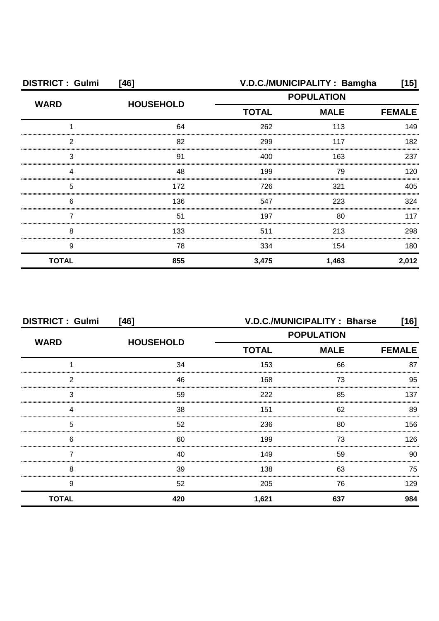| <b>DISTRICT: Gulmi</b> | [46]             |              | V.D.C./MUNICIPALITY: Bamgha | [15]  |
|------------------------|------------------|--------------|-----------------------------|-------|
| <b>WARD</b>            | <b>HOUSEHOLD</b> |              | <b>POPULATION</b>           |       |
|                        |                  | <b>TOTAL</b> | <b>FEMALE</b>               |       |
|                        | 64               | 262          | 113                         | 149   |
| 2                      | 82               | 299          | 117                         | 182   |
| З                      | 91               | 400          | 163                         | 237   |
|                        | 48               | 199          | 79                          | 120   |
| 5                      | 172              | 726          | 321                         | 405   |
| 6                      | 136              | 547          | 223                         | 324   |
|                        | 51               | 197          | 80                          | 117   |
| 8                      | 133              | 511          | 213                         | 298   |
| 9                      | 78               | 334          | 154                         | 180   |
| <b>TOTAL</b>           | 855              | 3,475        | 1,463                       | 2,012 |

| <b>DISTRICT: Gulmi</b> | $[46]$           |              | V.D.C./MUNICIPALITY: Bharse |               |
|------------------------|------------------|--------------|-----------------------------|---------------|
|                        |                  |              | <b>POPULATION</b>           |               |
| <b>WARD</b>            | <b>HOUSEHOLD</b> | <b>TOTAL</b> | <b>MALE</b>                 | <b>FEMALE</b> |
|                        | 34               | 153          | 66                          | 87            |
| 2                      | 46               | 168          | 73                          | 95            |
| 3                      | 59               | 222          | 85                          | 137           |
| 4                      | 38               | 151          | 62                          | 89            |
| 5                      | 52               | 236          | 80                          | 156           |
| 6                      | 60               | 199          | 73                          | 126.          |
|                        | 40               | 149          | 59                          | 90            |
| 8                      | 39               | 138          | 63                          | 75            |
| 9                      | 52               | 205          | 76                          | 129           |
| <b>TOTAL</b>           | 420              | 1,621        | 637                         | 984           |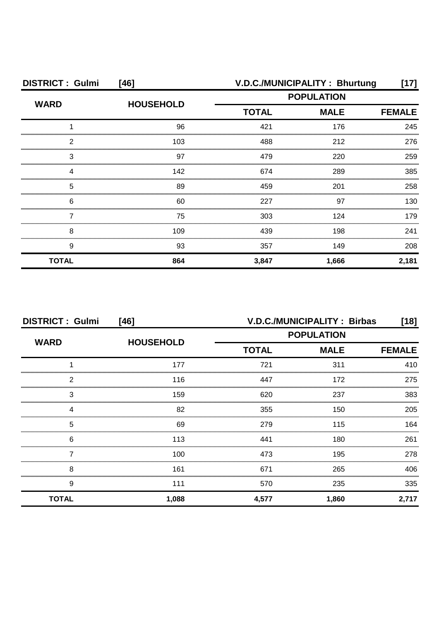| <b>DISTRICT: Gulmi</b> | $[46]$           |                   | V.D.C./MUNICIPALITY: Bhurtung | $\left[ 17\right]$ |
|------------------------|------------------|-------------------|-------------------------------|--------------------|
| <b>WARD</b>            |                  | <b>POPULATION</b> |                               |                    |
|                        | <b>HOUSEHOLD</b> | <b>TOTAL</b>      | <b>MALE</b>                   | <b>FEMALE</b>      |
|                        | 96               | 421               | 176                           | 245                |
| 2                      | 103              | 488               | 212                           | 276                |
| 3                      | 97               | 479               | 220                           | 259                |
|                        | 142              | 674               | 289                           | 385                |
| 5                      | 89               | 459               | 201                           | 258                |
| 6                      | 60               | 227               | 97                            | 130                |
|                        | 75               | 303               | 124                           | 179                |
| 8                      | 109              | 439               | 198                           | 241                |
| 9                      | 93               | 357               | 149                           | 208                |
| <b>TOTAL</b>           | 864              | 3,847             | 1,666                         | 2,181              |

| <b>DISTRICT: Gulmi</b> | $[46]$           | <b>V.D.C./MUNICIPALITY: Birbas</b><br>$[18]$ |                   |               |  |
|------------------------|------------------|----------------------------------------------|-------------------|---------------|--|
|                        | <b>HOUSEHOLD</b> |                                              | <b>POPULATION</b> |               |  |
| <b>WARD</b>            |                  | <b>TOTAL</b>                                 | <b>MALE</b>       | <b>FEMALE</b> |  |
|                        | 177              | 721                                          | 311               | 410           |  |
| 2                      | 116              | 447                                          | 172<br>           | 275           |  |
| 3                      | 159              | 620                                          | 237               | 383           |  |
| Δ                      | 82               | 355                                          | 150               | 205           |  |
| 5                      | 69               | 279                                          | 115               | 164           |  |
| 6                      | 113              | 441                                          | 180               | 261           |  |
|                        | 100              | 473                                          | 195               | 278           |  |
| 8                      | 161              | 671                                          | 265               | 406           |  |
| 9                      | 111              | 570                                          | 235               | 335           |  |
| <b>TOTAL</b>           | 1,088            | 4,577                                        | 1,860             | 2,717         |  |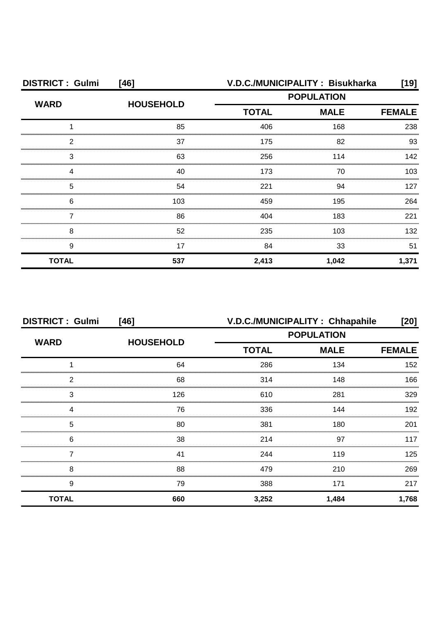| <b>DISTRICT: Gulmi</b><br>[46] |                  |              | V.D.C./MUNICIPALITY: Bisukharka | $[19]$        |
|--------------------------------|------------------|--------------|---------------------------------|---------------|
| <b>WARD</b>                    |                  |              | <b>POPULATION</b>               |               |
|                                | <b>HOUSEHOLD</b> | <b>TOTAL</b> | <b>MALE</b>                     | <b>FEMALE</b> |
|                                | 85               | 406          | 168                             | 238           |
| 2                              | 37               | 175          | 82                              | 93            |
| 3                              | 63               | 256          | 114                             | 142           |
| Δ                              | 40               | 173          | 70                              | 103           |
| 5                              | 54               | 221          | 94                              | 127           |
| 6                              | 103              | 459          | 195                             | 264           |
|                                | 86               | 404          | 183                             | 221           |
| 8                              | 52               | 235          | 103                             | 132           |
| 9                              | 17               | 84           | 33                              | 51            |
| <b>TOTAL</b>                   | 537              | 2,413        | 1,042                           | 1,371         |

| <b>DISTRICT: Gulmi</b> | $[46]$           | V.D.C./MUNICIPALITY: Chhapahile |                   | [20]          |
|------------------------|------------------|---------------------------------|-------------------|---------------|
| <b>WARD</b>            |                  |                                 | <b>POPULATION</b> |               |
|                        | <b>HOUSEHOLD</b> | <b>TOTAL</b>                    | <b>MALE</b>       | <b>FEMALE</b> |
|                        | 64               | 286                             | 134               | 152           |
| 2                      | 68               | 314                             | 148               | 166           |
| 3                      | 126              | 610                             | 281               | 329           |
| Δ                      | 76               | 336                             | 144               | 192           |
| 5                      | 80               | 381                             | 180               | 201           |
| 6                      | 38               | 214                             | 97                | 117           |
|                        | 41               | 244                             | 119               | 125           |
| 8                      | 88               | 479                             | 210               | 269           |
| 9                      | 79               | 388                             | 171               | 217           |
| <b>TOTAL</b>           | 660              | 3,252                           | 1,484             | 1,768         |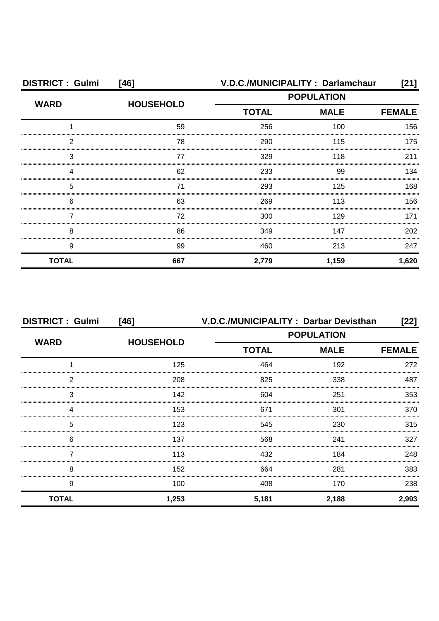| <b>DISTRICT: Gulmi</b> | $[46]$           | V.D.C./MUNICIPALITY: Darlamchaur |                   | [21]          |
|------------------------|------------------|----------------------------------|-------------------|---------------|
|                        |                  |                                  | <b>POPULATION</b> |               |
| <b>WARD</b>            | <b>HOUSEHOLD</b> | <b>TOTAL</b>                     | <b>MALE</b>       | <b>FEMALE</b> |
|                        | 59               | 256                              | 100               | 156           |
| 2                      | 78               | 290                              | 115               | 175           |
| 3                      | 77               | 329                              | 118               | 211           |
| Δ                      | 62               | 233                              | 99                | 134           |
| 5                      | 71               | 293                              | 125               | 168           |
| 6                      | 63               | 269                              | 113               | 156           |
|                        | 72               | 300                              | 129               | 171           |
| 8                      | 86               | 349                              | 147               | 202           |
| 9                      | 99               | 460                              | 213               | 247           |
| <b>TOTAL</b>           | 667              | 2,779                            | 1,159             | 1,620         |

| <b>DISTRICT: Gulmi</b> | $[46]$           |                   | V.D.C./MUNICIPALITY: Darbar Devisthan | [22]          |
|------------------------|------------------|-------------------|---------------------------------------|---------------|
| <b>WARD</b>            |                  | <b>POPULATION</b> |                                       |               |
|                        | <b>HOUSEHOLD</b> | <b>TOTAL</b>      | <b>MALE</b>                           | <b>FEMALE</b> |
|                        | 125              | 464               | 192                                   | 272           |
| 2                      | 208              | 825               | 338                                   | 487           |
| 3                      | 142              | 604               | 251                                   | 353           |
| 4                      | 153              | 671               | 301                                   | 370           |
| 5                      | 123              | 545               | 230                                   | 315           |
| 6                      | 137              | 568               | 241                                   | 327           |
|                        | 113              | 432               | 184                                   | 248           |
| 8                      | 152              | 664               | 281                                   | 383           |
| 9                      | 100              | 408               | 170                                   | 238           |
| <b>TOTAL</b>           | 1,253            | 5,181             | 2,188                                 | 2,993         |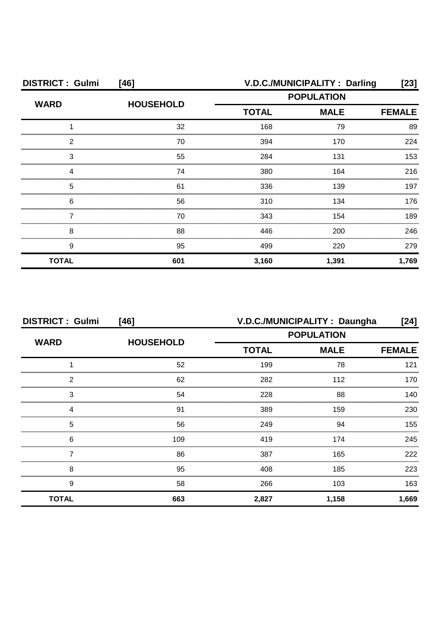| <b>DISTRICT: Gulmi</b> | $[46]$           |              | V.D.C./MUNICIPALITY: Darling | [23]          |
|------------------------|------------------|--------------|------------------------------|---------------|
| <b>WARD</b>            |                  |              | <b>POPULATION</b>            |               |
|                        | <b>HOUSEHOLD</b> | <b>TOTAL</b> | <b>MALE</b>                  | <b>FEMALE</b> |
|                        | 32               | 168          | 79                           | 89            |
| 2                      | 70               | 394          | 170                          | 224           |
| 3                      | 55               | 284          | 131                          | 153           |
|                        | 74               | 380          | 164                          | 216           |
| 5                      | 61               | 336          | 139                          | 197           |
| 6                      | 56               | 310          | 134                          | 176           |
|                        | 70               | 343          | 154                          | 189           |
| 8                      | 88               | 446          | 200                          | 246           |
| 9                      | 95               | 499          | 220                          | 279           |
| <b>TOTAL</b>           | 601              | 3,160        | 1,391                        | 1,769         |

| <b>DISTRICT: Gulmi</b> | $[46]$           |                   | V.D.C./MUNICIPALITY : Daungha | [24]          |
|------------------------|------------------|-------------------|-------------------------------|---------------|
|                        |                  | <b>POPULATION</b> |                               |               |
| <b>WARD</b>            | <b>HOUSEHOLD</b> | <b>TOTAL</b>      | <b>MALE</b>                   | <b>FEMALE</b> |
|                        | 52               | 199               | 78                            | 121           |
| 2                      | 62               | 282               | 112                           | 170           |
| 3                      | 54               | 228               | 88                            | 140           |
|                        | 91               | 389               | 159                           | 230           |
| 5                      | 56               | 249               | 94                            | 155           |
| 6                      | 109              | 419               | 174                           | 245           |
|                        | 86               | 387               | 165                           | 222           |
| 8                      | 95               | 408               | 185                           | 223           |
| 9                      | 58               | 266               | 103                           | 163           |
| <b>TOTAL</b>           | 663              | 2,827             | 1,158                         | 1,669         |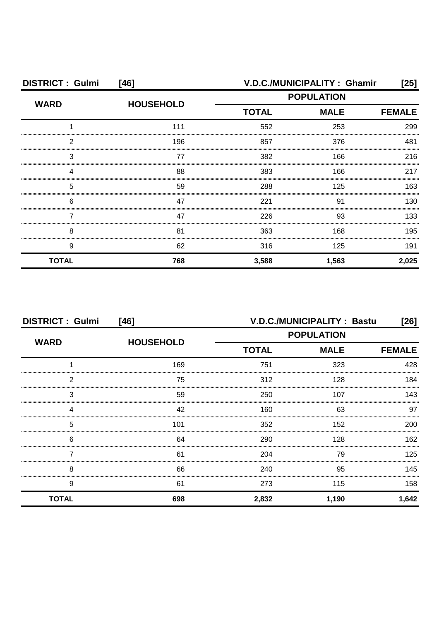| <b>DISTRICT: Gulmi</b> | [46]             | V.D.C./MUNICIPALITY: Ghamir<br>[25] |                   |       |
|------------------------|------------------|-------------------------------------|-------------------|-------|
| <b>WARD</b>            | <b>HOUSEHOLD</b> |                                     | <b>POPULATION</b> |       |
|                        |                  | <b>TOTAL</b>                        | <b>MALE</b>       |       |
|                        | 111              | 552                                 | 253               | 299   |
| 2                      | 196              | 857                                 | 376               | 481   |
| З                      | 77               | 382                                 | 166               | 216   |
|                        | 88               | 383                                 | 166               | 217   |
| 5                      | 59               | 288                                 | 125               | 163   |
| 6                      | 47               | 221                                 | .91               | 130.  |
|                        | 47               | 226                                 | 93                | 133   |
| 8                      | 81               | 363                                 | 168               | 195   |
| 9                      | 62               | 316                                 | 125               | 191   |
| <b>TOTAL</b>           | 768              | 3,588                               | 1,563             | 2,025 |

| <b>DISTRICT: Gulmi</b> | $[46]$           |                   | V.D.C./MUNICIPALITY: Bastu | [26]          |
|------------------------|------------------|-------------------|----------------------------|---------------|
| <b>WARD</b>            |                  | <b>POPULATION</b> |                            |               |
|                        | <b>HOUSEHOLD</b> | <b>TOTAL</b>      | <b>MALE</b>                | <b>FEMALE</b> |
|                        | 169              | 751               | 323                        | 428           |
| 2                      | 75               | 312               | 128                        | 184           |
| 3                      | 59               | 250               | 107                        | 143           |
| 4                      | 42               | 160               | 63                         | 97            |
| 5                      | 101              | 352               | 152                        | 200           |
| 6                      | 64               | 290               | 128                        | 162           |
|                        | 61               | 204               | 79                         | 125           |
| 8                      | 66               | 240               | 95                         | 145           |
| 9                      | 61               | 273               | 115                        | 158           |
| <b>TOTAL</b>           | 698              | 2,832             | 1,190                      | 1,642         |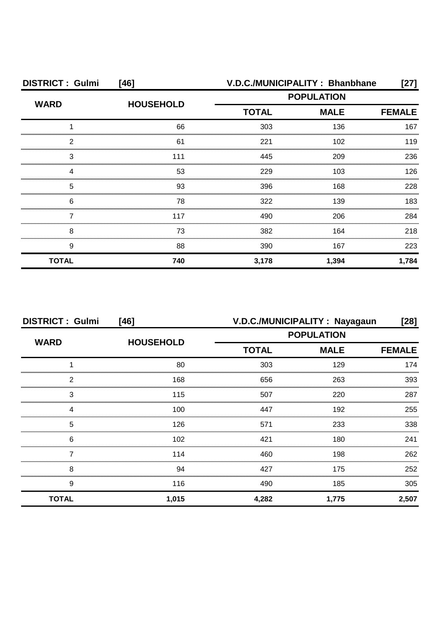| <b>DISTRICT: Gulmi</b> | [46]             | V.D.C./MUNICIPALITY: Bhanbhane<br>[27] |                   |               |
|------------------------|------------------|----------------------------------------|-------------------|---------------|
| <b>WARD</b>            | <b>HOUSEHOLD</b> |                                        | <b>POPULATION</b> |               |
|                        |                  | <b>TOTAL</b>                           | <b>MALE</b>       | <b>FEMALE</b> |
|                        | 66               | 303                                    | 136               | 167           |
| 2                      | 61               | 221                                    | 102               | 119           |
| 3                      | 111              | 445                                    | 209               | 236           |
|                        | 53               | 229                                    | 103               | 126           |
| 5                      | 93               | 396                                    | 168               | 228           |
| 6                      | 78               | 322                                    | 139               | 183           |
|                        | 117              | 490                                    | 206               | 284           |
| 8                      | 73               | 382                                    | 164               | 218           |
| 9                      | 88               | 390                                    | 167               | 223           |
| <b>TOTAL</b>           | 740              | 3,178                                  | 1,394             | 1,784         |

| <b>DISTRICT: Gulmi</b><br>$[46]$ |                  | V.D.C./MUNICIPALITY: Nayagaun<br>[28] |             |               |
|----------------------------------|------------------|---------------------------------------|-------------|---------------|
| <b>WARD</b>                      |                  | <b>POPULATION</b>                     |             |               |
|                                  | <b>HOUSEHOLD</b> | <b>TOTAL</b>                          | <b>MALE</b> | <b>FEMALE</b> |
|                                  | 80               | 303                                   | 129         | 174           |
| っ                                | 168              | 656                                   | 263         | 393           |
| 3                                | 115              | 507                                   | 220         | 287           |
|                                  | 100              | 447                                   | 192         | 255           |
| 5                                | 126              | 571                                   | 233         | 338           |
| 6                                | 102              | 421                                   | 180         | 241           |
|                                  | 114              | 460                                   | 198         | 262           |
| 8                                | 94               | 427                                   | 175         | 252           |
| 9                                | 116              | 490                                   | 185         | 305           |
| <b>TOTAL</b>                     | 1,015            | 4,282                                 | 1,775       | 2,507         |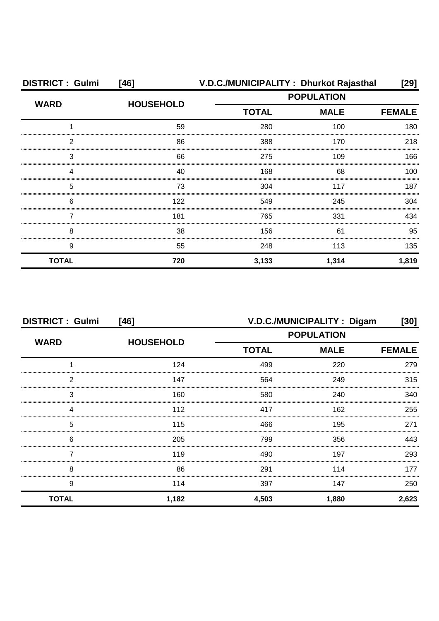| <b>DISTRICT: Gulmi</b> | [46]             | V.D.C./MUNICIPALITY: Dhurkot Rajasthal |             | $[29]$        |
|------------------------|------------------|----------------------------------------|-------------|---------------|
| <b>WARD</b>            |                  | <b>POPULATION</b>                      |             |               |
|                        | <b>HOUSEHOLD</b> | <b>TOTAL</b>                           | <b>MALE</b> | <b>FEMALE</b> |
|                        | 59               | 280                                    | 100         | 180           |
| 2                      | 86               | 388                                    | 170         | 218           |
| 3                      | 66               | 275                                    | 109         | 166           |
| Δ                      | 40               | 168                                    | 68          | 100           |
| 5                      | 73               | 304                                    | 117         | 187           |
| 6                      | 122              | 549                                    | 245         | 304           |
|                        | 181              | 765                                    | 331         | 434           |
| 8                      | 38               | 156                                    | 61          | 95            |
| 9                      | 55               | 248                                    | 113         | 135           |
| <b>TOTAL</b>           | 720              | 3,133                                  | 1,314       | 1,819         |

| <b>DISTRICT: Gulmi</b><br>$[46]$ |                  | V.D.C./MUNICIPALITY : Digam<br>[30] |             |               |
|----------------------------------|------------------|-------------------------------------|-------------|---------------|
| <b>WARD</b>                      |                  | <b>POPULATION</b>                   |             |               |
|                                  | <b>HOUSEHOLD</b> | <b>TOTAL</b>                        | <b>MALE</b> | <b>FEMALE</b> |
|                                  | 124              | 499                                 | 220         | 279           |
| 2                                | 147              | 564                                 | 249         | 315           |
| 3                                | 160              | 580                                 | 240         | 340           |
| 4                                | 112              | 417                                 | 162         | 255           |
| 5                                | 115              | 466                                 | 195         | 271           |
| 6                                | 205              | 799                                 | 356         | 443           |
|                                  | 119              | 490                                 | 197         | 293           |
| 8                                | 86               | 291                                 | 114         | 177           |
| 9                                | 114              | 397                                 | 147         | 250           |
| <b>TOTAL</b>                     | 1,182            | 4,503                               | 1,880       | 2,623         |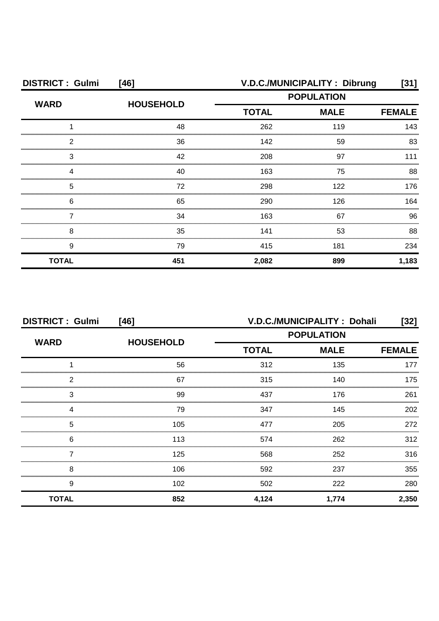| <b>DISTRICT: Gulmi</b> | $[46]$           | V.D.C./MUNICIPALITY: Dibrung<br>[31] |                   |               |
|------------------------|------------------|--------------------------------------|-------------------|---------------|
| <b>WARD</b>            |                  |                                      | <b>POPULATION</b> |               |
|                        | <b>HOUSEHOLD</b> | <b>TOTAL</b>                         | <b>MALE</b>       | <b>FEMALE</b> |
|                        | 48               | 262                                  | 119               | 143           |
| 2                      | 36               | 142                                  | 59                | 83            |
| 3                      | 42               | 208                                  | 97                |               |
|                        | 40               | 163                                  | 75                | 88            |
| 5                      | 72               | 298                                  | 122               | 176           |
| 6                      | 65               | 290                                  | 126               | 164           |
|                        | 34               | 163                                  | 67                | 96            |
| 8                      | 35               | 141                                  | 53                | 88            |
| 9                      | 79               | 415                                  | 181               | 234           |
| <b>TOTAL</b>           | 451              | 2,082                                | 899               | 1,183         |

| <b>DISTRICT: Gulmi</b><br>$[46]$ |                  | V.D.C./MUNICIPALITY: Dohali<br>[32] |             |               |
|----------------------------------|------------------|-------------------------------------|-------------|---------------|
| <b>WARD</b>                      |                  | <b>POPULATION</b>                   |             |               |
|                                  | <b>HOUSEHOLD</b> | <b>TOTAL</b>                        | <b>MALE</b> | <b>FEMALE</b> |
|                                  | 56               | 312                                 | 135         | 177           |
| 2                                | 67               | 315                                 | 140         | 175           |
| 3                                | 99               | 437                                 | 176         | 261           |
|                                  | 79               | 347                                 | 145         | 202           |
| 5                                | 105              | 477                                 | 205         | 272           |
| 6                                | 113              | 574                                 | 262         | 312           |
|                                  | 125              | 568                                 | 252         | 316           |
| 8                                | 106              | 592                                 | 237         | 355           |
| 9                                | 102              | 502                                 | 222         | 280           |
| <b>TOTAL</b>                     | 852              | 4,124                               | 1,774       | 2,350         |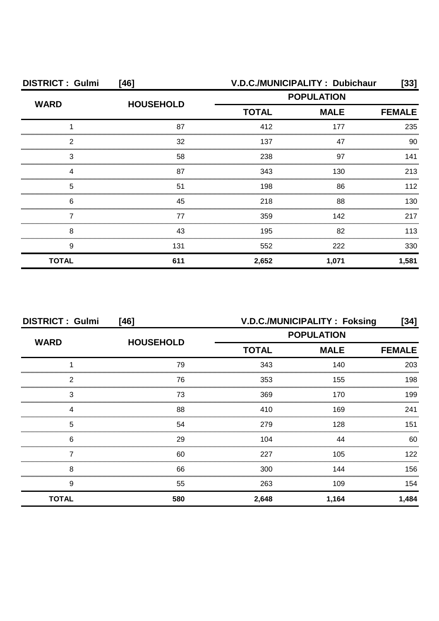| <b>DISTRICT: Gulmi</b> | $[46]$           |              | V.D.C./MUNICIPALITY: Dubichaur | [33]          |
|------------------------|------------------|--------------|--------------------------------|---------------|
| <b>WARD</b>            |                  |              | <b>POPULATION</b>              |               |
|                        | <b>HOUSEHOLD</b> | <b>TOTAL</b> | <b>MALE</b>                    | <b>FEMALE</b> |
|                        | 87               | 412          | 177                            | 235           |
| 2                      | 32               | 137          | 47                             | 90            |
| 3                      | 58               | 238          | 97                             | 141           |
|                        | 87               | 343          | 130                            | 213           |
| 5                      | 51               | 198          | 86                             | 112           |
| 6                      | 45               | 218          | 88                             | 130           |
|                        | 77               | 359          | 142                            | 217           |
| 8                      | 43               | 195          | 82                             | 113           |
| 9                      | 131              | 552          | 222                            | 330           |
| <b>TOTAL</b>           | 611              | 2,652        | 1,071                          | 1,581         |

| <b>DISTRICT: Gulmi</b><br>$[46]$ |                  | V.D.C./MUNICIPALITY: Foksing<br>[34] |                              |       |
|----------------------------------|------------------|--------------------------------------|------------------------------|-------|
| <b>WARD</b>                      |                  | <b>POPULATION</b>                    |                              |       |
|                                  | <b>HOUSEHOLD</b> | <b>TOTAL</b>                         | <b>MALE</b><br><b>FEMALE</b> |       |
|                                  | 79               | 343                                  | 140                          | 203   |
| っ                                | 76               | 353                                  | 155                          | 198   |
| 3                                | 73               | 369                                  | 170                          | 199   |
|                                  | 88               | 410                                  | 169                          | 241   |
| 5                                | 54               | 279                                  | 128                          | 151   |
| 6                                | 29               | 104                                  | 44                           | 60    |
|                                  | 60               | 227                                  | 105                          | 122   |
| 8                                | 66               | 300                                  | 144                          | 156.  |
| 9                                | 55               | 263                                  | 109                          | 154   |
| <b>TOTAL</b>                     | 580              | 2,648                                | 1,164                        | 1,484 |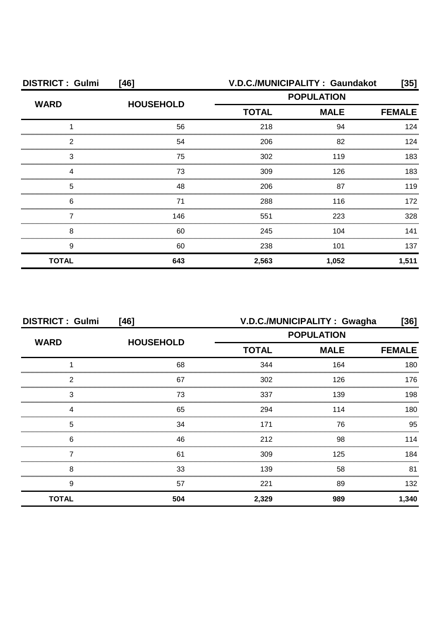| <b>DISTRICT: Gulmi</b><br>$[46]$ |                  |              | V.D.C./MUNICIPALITY: Gaundakot | [35]          |
|----------------------------------|------------------|--------------|--------------------------------|---------------|
| <b>WARD</b>                      |                  |              | <b>POPULATION</b>              |               |
|                                  | <b>HOUSEHOLD</b> | <b>TOTAL</b> | <b>MALE</b>                    | <b>FEMALE</b> |
|                                  | 56               | 218          | 94                             | 124           |
| 2                                | 54               | 206          | 82                             | 124           |
| З                                | 75               | 302          | 119                            | 183           |
|                                  | 73               | 309          | 126                            | 183           |
| 5                                | 48               | 206          | 87                             | 119           |
| 6                                | 71               | 288          | 116                            | 172           |
|                                  | 146              | 551          | 223                            | 328           |
| 8                                | 60               | 245          | 104                            | 141           |
| 9                                | 60               | 238          | 101                            | 137           |
| <b>TOTAL</b>                     | 643              | 2,563        | 1,052                          | 1,511         |

| <b>DISTRICT: Gulmi</b><br>[46] |                  | V.D.C./MUNICIPALITY: Gwagha<br>[36] |                              |       |
|--------------------------------|------------------|-------------------------------------|------------------------------|-------|
| <b>WARD</b>                    |                  | <b>POPULATION</b>                   |                              |       |
|                                | <b>HOUSEHOLD</b> | <b>TOTAL</b>                        | <b>MALE</b><br><b>FEMALE</b> |       |
|                                | 68               | 344                                 | 164                          | 180   |
| っ                              | 67               | 302                                 | 126                          | 176   |
| 3                              | 73               | 337                                 | 139                          | 198   |
|                                | 65               | 294                                 | 114                          | 180   |
| 5                              | 34               | 171                                 | 76                           | 95    |
| 6                              | 46               | 212                                 | 98                           | 114   |
|                                | 61               | 309                                 | 125                          | 184   |
| 8                              | 33               | 139                                 | 58                           | 81    |
| 9                              | 57               | 221                                 | 89                           | 132   |
| <b>TOTAL</b>                   | 504              | 2,329                               | 989                          | 1,340 |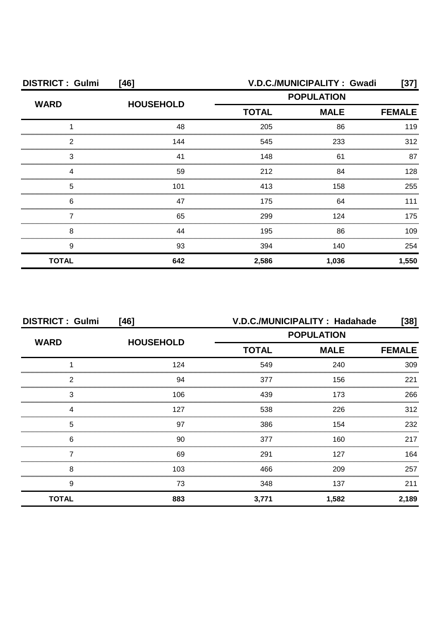| <b>DISTRICT: Gulmi</b><br>$[46]$ |                  | V.D.C./MUNICIPALITY: Gwadi<br>$[37]$ |             |               |
|----------------------------------|------------------|--------------------------------------|-------------|---------------|
| <b>WARD</b>                      | <b>HOUSEHOLD</b> | <b>POPULATION</b>                    |             |               |
|                                  |                  | <b>TOTAL</b>                         | <b>MALE</b> | <b>FEMALE</b> |
|                                  | 48               | 205                                  | 86          | 119           |
| 2                                | 144              | 545                                  | 233         | 312           |
| 3                                | 41               | 148                                  | 61          | 87            |
|                                  | 59               | 212                                  | 84          | 128           |
| 5                                | 101              | 413                                  | 158         | 255           |
| 6                                | 47               | 175                                  | 64          | 111           |
|                                  | 65               | 299                                  | 124         | 175           |
| 8                                | 44               | 195                                  | 86          | 109           |
| 9                                | 93               | 394                                  | 140         | 254           |
| <b>TOTAL</b>                     | 642              | 2,586                                | 1,036       | 1,550         |

| <b>DISTRICT: Gulmi</b><br>$[46]$ |                  | V.D.C./MUNICIPALITY: Hadahade<br>$[38]$ |             |               |
|----------------------------------|------------------|-----------------------------------------|-------------|---------------|
| <b>WARD</b>                      |                  | <b>POPULATION</b>                       |             |               |
|                                  | <b>HOUSEHOLD</b> | <b>TOTAL</b>                            | <b>MALE</b> | <b>FEMALE</b> |
|                                  | 124              | 549                                     | 240         | 309           |
| 2                                | 94               | 377                                     | 156         | 221           |
| 3                                | 106              | 439                                     | 173         | 266           |
| Δ                                | 127              | 538                                     | 226         | 312           |
| 5                                | 97               | 386                                     | 154         | 232           |
| 6                                | 90               | 377                                     | 160         | 217           |
|                                  | 69               | 291                                     | 127         | 164           |
| 8                                | 103              | 466                                     | 209         | 257           |
| 9                                | 73               | 348                                     | 137         | 211           |
| <b>TOTAL</b>                     | 883              | 3,771                                   | 1,582       | 2,189         |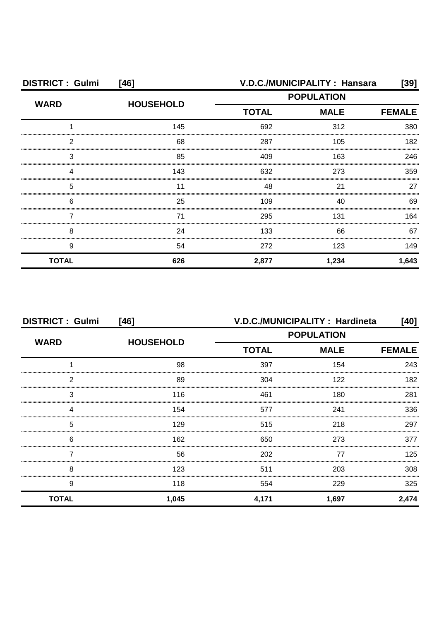| <b>DISTRICT: Gulmi</b> | [46]             |                                                  | <b>V.D.C./MUNICIPALITY: Hansara</b> | [39]  |
|------------------------|------------------|--------------------------------------------------|-------------------------------------|-------|
| <b>WARD</b>            | <b>HOUSEHOLD</b> | <b>POPULATION</b><br><b>TOTAL</b><br><b>MALE</b> |                                     |       |
|                        |                  |                                                  | <b>FEMALE</b>                       |       |
|                        | 145              | 692                                              | 312                                 | 380   |
| 2                      | 68               | 287                                              | 105                                 | 182   |
| З                      | 85               | 409                                              | 163                                 | 246   |
|                        | 143              | 632                                              | 273                                 | 359   |
| 5                      |                  | 48                                               | 21                                  | 27    |
| 6                      | 25               | 109                                              | 40                                  | 69    |
|                        | 71               | 295                                              | 131                                 | 164   |
| 8                      | 24               | 133                                              | 66                                  | 67    |
| 9                      | 54               | 272                                              | 123                                 | 149   |
| <b>TOTAL</b>           | 626              | 2,877                                            | 1,234                               | 1,643 |

| <b>DISTRICT: Gulmi</b> | $[46]$           | V.D.C./MUNICIPALITY: Hardineta<br>[40] |                   |               |
|------------------------|------------------|----------------------------------------|-------------------|---------------|
| <b>WARD</b>            | <b>HOUSEHOLD</b> |                                        | <b>POPULATION</b> |               |
|                        |                  | <b>TOTAL</b>                           | <b>MALE</b>       | <b>FEMALE</b> |
|                        | 98               | 397                                    | 154               | 243           |
| 2                      | 89               | 304                                    | 122               | 182           |
| 3                      | 116              | 461                                    | 180               | 281           |
|                        | 154              | 577                                    | 241               | 336           |
| 5                      | 129              | 515                                    | 218               | 297           |
| 6                      | 162              | 650                                    | 273               | 377           |
|                        | 56               | 202                                    | 77                | 125           |
| 8                      | 123              | 511                                    | 203               | 308           |
| 9                      | 118              | 554                                    | 229               | 325           |
| <b>TOTAL</b>           | 1,045            | 4,171                                  | 1,697             | 2,474         |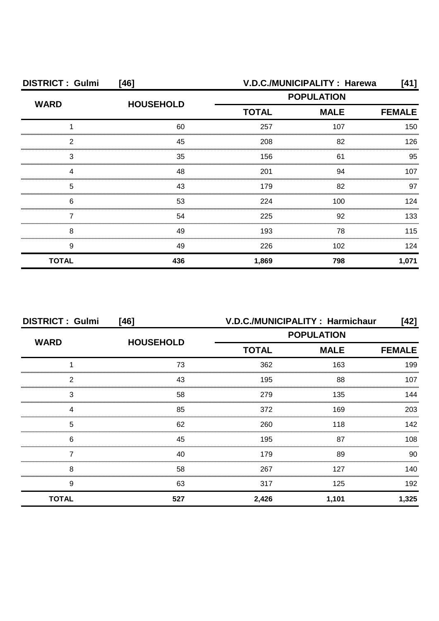| <b>DISTRICT: Gulmi</b><br>$[46]$ |                  |                   | V.D.C./MUNICIPALITY : Harewa | [41]  |
|----------------------------------|------------------|-------------------|------------------------------|-------|
| <b>WARD</b>                      | <b>HOUSEHOLD</b> | <b>POPULATION</b> |                              |       |
|                                  |                  | <b>TOTAL</b>      | <b>MALE</b>                  |       |
|                                  | 60               | 257               | 107                          | 150   |
| 2                                | 45               | 208               | 82                           | 126   |
| З                                | 35               | 156               | 61                           | 95    |
|                                  | 48               | 201               | 94                           | 107   |
| 5                                | 43               | 179               | 82                           | 97    |
| 6                                | 53               | 224               | 100                          | 124   |
|                                  | 54               | 225               | 92                           | 133   |
| 8                                | 49               | 193               | 78                           | 115   |
| 9                                | 49               | 226               | 102                          | 124   |
| <b>TOTAL</b>                     | 436              | 1,869             | 798                          | 1,071 |

| <b>DISTRICT: Gulmi</b> | $[46]$           |              | V.D.C./MUNICIPALITY: Harmichaur | [42]          |
|------------------------|------------------|--------------|---------------------------------|---------------|
| <b>WARD</b>            | <b>HOUSEHOLD</b> |              | <b>POPULATION</b>               |               |
|                        |                  | <b>TOTAL</b> | <b>MALE</b>                     | <b>FEMALE</b> |
|                        | 73               | 362          | 163                             | 199           |
| 2                      | 43               | 195          | 88                              | 107           |
| 3                      | 58               | 279          | 135                             | 144           |
|                        | 85               | 372          | 169                             | 203           |
| 5                      | 62               | 260          | 118                             | 142           |
| 6                      | 45               | 195          | 87                              | 108           |
|                        | 40               | 179          | 89                              | 90            |
| 8                      | 58               | 267          | 127                             | 140.          |
| 9                      | 63               | 317          | 125                             | 192           |
| <b>TOTAL</b>           | 527              | 2,426        | 1,101                           | 1,325         |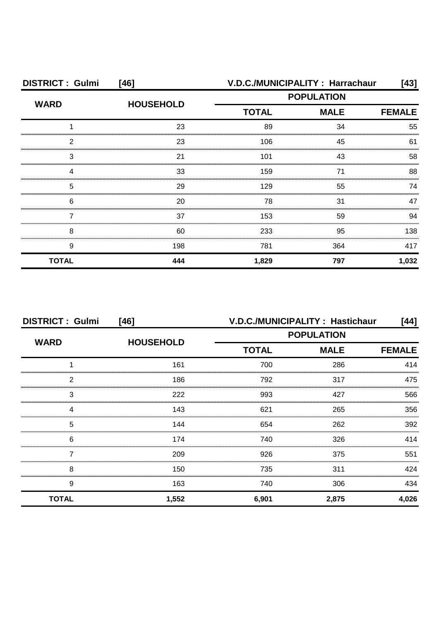| <b>DISTRICT: Gulmi</b> | $[46]$           |              | V.D.C./MUNICIPALITY: Harrachaur | [43]          |
|------------------------|------------------|--------------|---------------------------------|---------------|
| <b>WARD</b>            | <b>HOUSEHOLD</b> |              | <b>POPULATION</b>               |               |
|                        |                  | <b>TOTAL</b> | <b>MALE</b>                     | <b>FEMALE</b> |
|                        | 23               | 89           | 34                              | 55            |
| ◠                      | 23               | 106          | 45                              | 61            |
| З                      | 21               | 101          | 43                              | 58            |
|                        | 33               | 159          | 71                              | 88            |
| 5                      | 29               | 129          | 55                              | 74            |
| 6                      | 20               | 78           | 31                              | 47            |
|                        | 37               | 153          | 59                              | 94            |
| 8                      | 60               | 233          | 95                              | 138           |
| 9                      | 198              | 781          | 364                             | 417           |
| <b>TOTAL</b>           | 444              | 1,829        | 797                             | 1,032         |

| <b>DISTRICT: Gulmi</b><br>$[46]$ |                  | V.D.C./MUNICIPALITY: Hastichaur |             | [44]          |
|----------------------------------|------------------|---------------------------------|-------------|---------------|
| <b>WARD</b>                      |                  | <b>POPULATION</b>               |             |               |
|                                  | <b>HOUSEHOLD</b> | <b>TOTAL</b>                    | <b>MALE</b> | <b>FEMALE</b> |
|                                  | 161              | 700                             | 286         | 414           |
| 2                                | 186              | 792                             | 317         | 475           |
| 3                                | 222              | 993                             | 427         | 566           |
| 4                                | 143              | 621                             | 265         | 356           |
| 5                                | 144              | 654                             | 262         | 392           |
| 6                                | 174              | 740                             | 326         | 414           |
|                                  | 209              | 926                             | 375         | 551           |
| 8                                | 150              | 735                             | 311         | 424           |
| 9                                | 163              | 740                             | 306         | 434           |
| <b>TOTAL</b>                     | 1,552            | 6,901                           | 2,875       | 4,026         |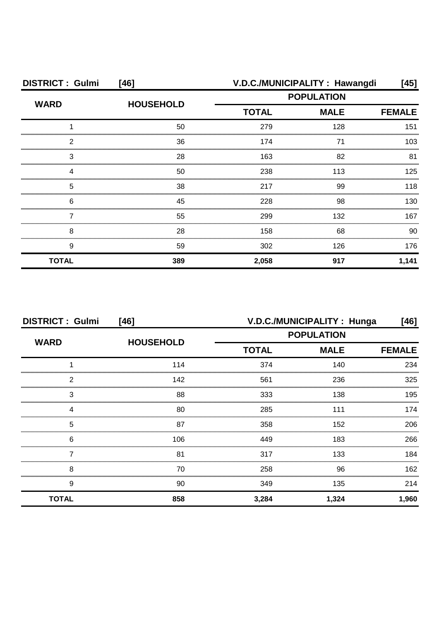| <b>DISTRICT: Gulmi</b> | $[46]$           | V.D.C./MUNICIPALITY: Hawangdi<br>[45] |                                                                   |       |
|------------------------|------------------|---------------------------------------|-------------------------------------------------------------------|-------|
| <b>WARD</b>            | <b>HOUSEHOLD</b> |                                       | <b>POPULATION</b><br><b>TOTAL</b><br><b>MALE</b><br><b>FEMALE</b> |       |
|                        |                  |                                       |                                                                   |       |
|                        | 50               | 279                                   | 128                                                               | 151   |
| 2                      | 36               | 174                                   | 71                                                                | 103   |
| 3                      | 28               | 163                                   | 82                                                                | 81    |
|                        | 50               | 238                                   | 113                                                               | 125   |
| 5                      | 38               | 217                                   | 99                                                                | 118   |
| 6                      | 45               | 228                                   | 98                                                                | 130   |
|                        | 55               | 299                                   | 132                                                               | 167   |
| 8                      | 28               | 158                                   | 68                                                                | 90    |
| 9                      | 59               | 302                                   | 126                                                               | 176   |
| <b>TOTAL</b>           | 389              | 2,058                                 | 917                                                               | 1,141 |

| <b>DISTRICT: Gulmi</b><br>$[46]$ |                  | V.D.C./MUNICIPALITY: Hunga<br>[46] |             |               |
|----------------------------------|------------------|------------------------------------|-------------|---------------|
| <b>WARD</b>                      | <b>HOUSEHOLD</b> | <b>POPULATION</b>                  |             |               |
|                                  |                  | <b>TOTAL</b>                       | <b>MALE</b> | <b>FEMALE</b> |
|                                  | 114              | 374                                | 140         | 234           |
| 2                                | 142              | 561                                | 236         | 325           |
| 3                                | 88               | 333                                | 138         | 195           |
|                                  | 80               | 285                                | 111         | 174           |
| 5                                | 87               | 358                                | 152         | 206           |
| 6                                | 106              | 449                                | 183         | 266           |
|                                  | 81               | 317                                | 133         | 184           |
| 8                                | 70               | 258                                | 96          | 162           |
| 9                                | 90               | 349                                | 135         | 214           |
| <b>TOTAL</b>                     | 858              | 3,284                              | 1,324       | 1,960         |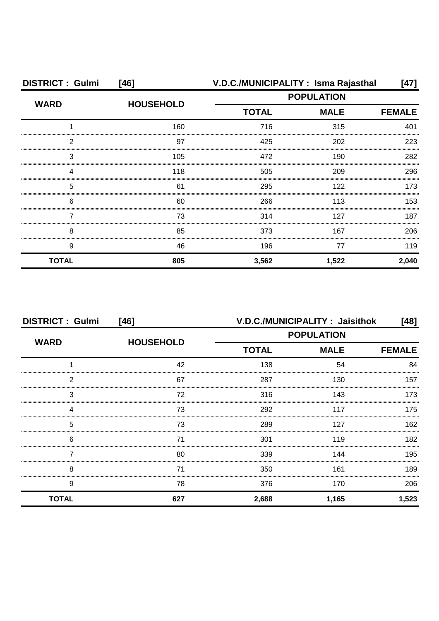| <b>DISTRICT: Gulmi</b> | [46]             |                             | V.D.C./MUNICIPALITY: Isma Rajasthal | [47]          |
|------------------------|------------------|-----------------------------|-------------------------------------|---------------|
| <b>WARD</b>            | <b>HOUSEHOLD</b> |                             | <b>POPULATION</b>                   |               |
|                        |                  | <b>MALE</b><br><b>TOTAL</b> |                                     | <b>FEMALE</b> |
|                        | 160              | 716                         | 315                                 | 401           |
| 2                      | 97               | 425                         | 202                                 | 223           |
| 3                      | 105              | 472                         | 190                                 | 282           |
| Δ                      | 118              | 505                         | 209                                 | 296           |
| 5                      | 61               | 295                         | 122                                 | 173           |
| 6                      | 60               | 266                         | 113                                 | 153           |
|                        | 73               | 314                         | 127                                 | 187           |
| 8                      | 85               | 373                         | 167                                 | 206           |
| 9                      | 46               | 196                         | 77                                  | 119           |
| <b>TOTAL</b>           | 805              | 3,562                       | 1,522                               | 2,040         |

| <b>DISTRICT: Gulmi</b> | $[46]$           | V.D.C./MUNICIPALITY: Jaisithok |             |               |  |
|------------------------|------------------|--------------------------------|-------------|---------------|--|
| <b>WARD</b>            |                  | <b>POPULATION</b>              |             |               |  |
|                        | <b>HOUSEHOLD</b> | <b>TOTAL</b>                   | <b>MALE</b> | <b>FEMALE</b> |  |
|                        | 42               | 138                            | 54          | 84            |  |
| っ                      | 67               | 287                            | 130         | 157           |  |
| 3                      | 72               | 316                            | 143         | 173           |  |
|                        | 73               | 292                            | 117         | 175           |  |
| 5                      | 73               | 289                            | 127         | 162           |  |
| 6                      | 71               | 301                            | 119         | 182           |  |
|                        | 80               | 339                            | 144         | 195           |  |
| 8                      | 71               | 350                            | 161         | 189           |  |
| 9                      | 78               | 376                            | 170         | 206           |  |
| <b>TOTAL</b>           | 627              | 2,688                          | 1,165       | 1,523         |  |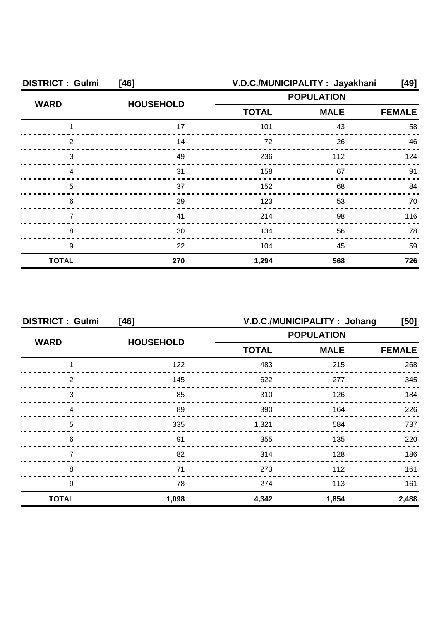| <b>DISTRICT: Gulmi</b> | $[46]$           |                             | V.D.C./MUNICIPALITY: Jayakhani | [49]          |
|------------------------|------------------|-----------------------------|--------------------------------|---------------|
| <b>WARD</b>            |                  | <b>POPULATION</b>           |                                |               |
|                        | <b>HOUSEHOLD</b> | <b>TOTAL</b><br><b>MALE</b> |                                | <b>FEMALE</b> |
|                        | 17               | 101                         | 43                             | 58            |
| 2                      | 14               | 72                          | 26                             | 46            |
| 3                      | 49               | 236                         | 112                            | 124           |
|                        | 31               | 158                         | 67                             | .91           |
| 5                      | 37               | 152                         | 68                             | 84            |
| 6                      | 29               | 123                         | 53                             | 70            |
|                        | 41               | 214                         | 98                             | 116           |
| 8                      | 30               | 134                         | 56                             | 78            |
| 9                      | 22               | 104                         | 45                             | 59            |
| <b>TOTAL</b>           | 270              | 1,294                       | 568                            | 726           |

| <b>DISTRICT: Gulmi</b><br>[46] |                  | V.D.C./MUNICIPALITY: Johang<br>[50] |               |       |
|--------------------------------|------------------|-------------------------------------|---------------|-------|
| <b>WARD</b>                    | <b>HOUSEHOLD</b> | <b>POPULATION</b>                   |               |       |
|                                |                  | <b>TOTAL</b>                        | <b>FEMALE</b> |       |
|                                | 122              | 483                                 | 215           | 268   |
| 2                              | 145              | 622                                 | 277           | 345   |
| 3                              | 85               | 310                                 | 126           | 184   |
|                                | 89               | 390                                 | 164           | 226   |
| 5                              | 335              | 1,321                               | 584           | 737   |
| 6                              | 91               | 355                                 | 135           | 220   |
|                                | 82               | 314                                 | 128           | 186   |
| 8                              | 71               | 273                                 | 112           | 161   |
| 9                              | 78               | 274                                 | 113           | 161   |
| <b>TOTAL</b>                   | 1,098            | 4,342                               | 1,854         | 2,488 |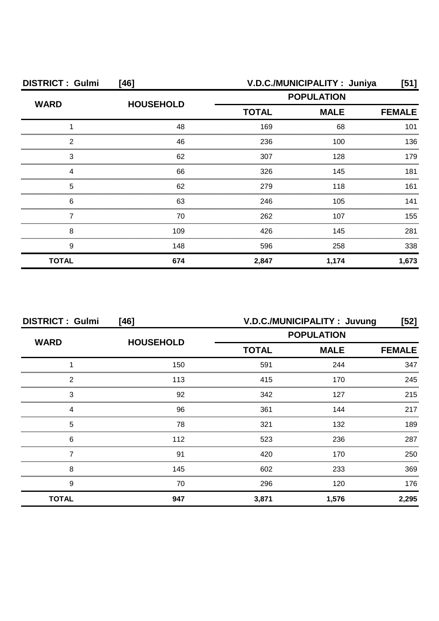| <b>DISTRICT: Gulmi</b><br>[46] |                  | V.D.C./MUNICIPALITY: Juniya<br>[51] |                   |               |
|--------------------------------|------------------|-------------------------------------|-------------------|---------------|
| <b>WARD</b>                    | <b>HOUSEHOLD</b> |                                     | <b>POPULATION</b> |               |
|                                |                  | <b>MALE</b><br><b>TOTAL</b>         |                   | <b>FEMALE</b> |
|                                | 48               | 169                                 | 68                | 101           |
| 2                              | 46               | 236                                 | 100               | 136           |
| З                              | 62               | 307                                 | 128               | 179           |
|                                | 66               | 326                                 | 145               | 181           |
| 5                              | 62               | 279                                 | 118               | 161           |
| 6                              | 63               | 246                                 | 105               | 141           |
|                                | 70               | 262                                 | 107               | 155           |
| 8                              | 109              | 426                                 | 145               | 281           |
| 9                              | 148              | 596                                 | 258               | 338           |
| <b>TOTAL</b>                   | 674              | 2,847                               | 1,174             | 1,673         |

| <b>DISTRICT: Gulmi</b><br>$[46]$ |                  | V.D.C./MUNICIPALITY: Juvung<br>[52] |             |               |
|----------------------------------|------------------|-------------------------------------|-------------|---------------|
| <b>WARD</b>                      |                  | <b>POPULATION</b>                   |             |               |
|                                  | <b>HOUSEHOLD</b> | <b>TOTAL</b>                        | <b>MALE</b> | <b>FEMALE</b> |
|                                  | 150              | 591                                 | 244         | 347           |
| 2                                | 113              | 415                                 | 170         | 245           |
| 3                                | 92               | 342                                 | 127         | 215           |
|                                  | 96               | 361                                 | 144         | 217           |
| 5                                | 78               | 321                                 | 132         | 189           |
| 6                                | 112              | 523                                 | 236         | 287           |
|                                  | 91               | 420                                 | 170         | 250           |
| 8                                | 145              | 602                                 | 233         | 369           |
| 9                                | 70               | 296                                 | 120         | 176           |
| <b>TOTAL</b>                     | 947              | 3,871                               | 1,576       | 2,295         |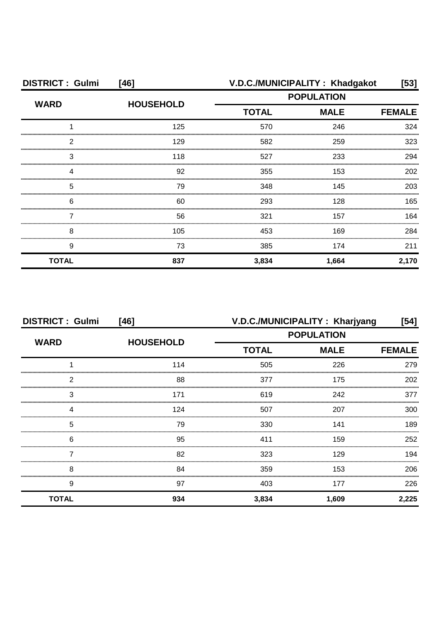| <b>DISTRICT: Gulmi</b> | [46]             |                   | V.D.C./MUNICIPALITY: Khadgakot | $[53]$        |
|------------------------|------------------|-------------------|--------------------------------|---------------|
| <b>WARD</b>            | <b>HOUSEHOLD</b> | <b>POPULATION</b> |                                |               |
|                        |                  | <b>TOTAL</b>      | <b>MALE</b>                    | <b>FEMALE</b> |
|                        | 125              | 570               | 246                            | 324           |
| 2                      | 129              | 582               | 259                            | 323           |
| З                      | 118              | 527               | 233                            | 294           |
|                        | 92               | 355               | 153                            | 202           |
| 5                      | 79               | 348               | 145                            | 203           |
| 6                      | 60               | 293               | 128                            | 165           |
|                        | 56               | 321               | 157                            | 164           |
| 8                      | 105              | 453               | 169                            | 284           |
| 9                      | 73               | 385               | 174                            | 211           |
| <b>TOTAL</b>           | 837              | 3,834             | 1,664                          | 2,170         |

| <b>DISTRICT: Gulmi</b><br>$[46]$ |                  |                             | V.D.C./MUNICIPALITY: Kharjyang | [54]  |
|----------------------------------|------------------|-----------------------------|--------------------------------|-------|
| <b>WARD</b>                      |                  | <b>POPULATION</b>           |                                |       |
|                                  | <b>HOUSEHOLD</b> | <b>TOTAL</b><br><b>MALE</b> | <b>FEMALE</b>                  |       |
|                                  | 114              | 505                         | 226                            | 279   |
| 2                                | 88               | 377                         | 175                            | 202   |
| 3                                | 171              | 619                         | 242                            | 377   |
| Δ                                | 124              | 507                         | 207                            | 300   |
| 5                                | 79               | 330                         | 141                            | 189   |
| 6                                | 95               | 411                         | 159                            | 252   |
|                                  | 82               | 323                         | 129                            | 194   |
| 8                                | 84               | 359                         | 153                            | 206   |
| 9                                | 97               | 403                         | 177                            | 226   |
| <b>TOTAL</b>                     | 934              | 3,834                       | 1,609                          | 2,225 |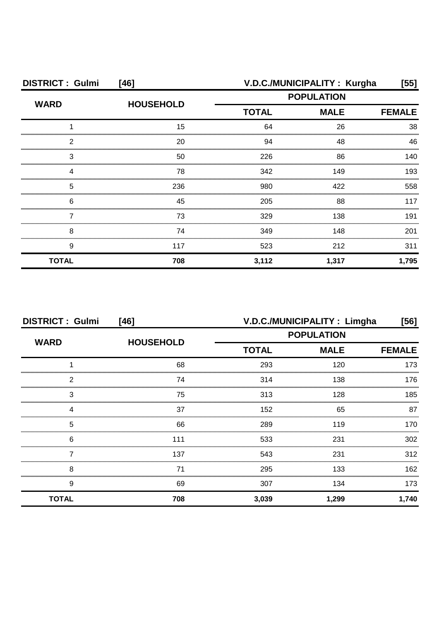| <b>DISTRICT: Gulmi</b> | [46]             | V.D.C./MUNICIPALITY: Kurgha<br>[55]              |               |       |  |
|------------------------|------------------|--------------------------------------------------|---------------|-------|--|
| <b>WARD</b>            | <b>HOUSEHOLD</b> | <b>POPULATION</b><br><b>TOTAL</b><br><b>MALE</b> |               |       |  |
|                        |                  |                                                  | <b>FEMALE</b> |       |  |
|                        | 15               | 64                                               | 26            | 38    |  |
| 2                      | 20               | 94                                               | 48            | 46    |  |
| З                      | 50               | 226                                              | 86            | 140   |  |
|                        | 78               | 342                                              | 149           | 193   |  |
| 5                      | 236              | 980                                              | 422           | 558   |  |
| 6                      | 45               | 205                                              | 88            | 117   |  |
|                        | 73               | 329                                              | 138           | 191   |  |
| 8                      | 74               | 349                                              | 148           | 201   |  |
| 9                      | 117              | 523                                              | 212           | 311   |  |
| <b>TOTAL</b>           | 708              | 3,112                                            | 1,317         | 1,795 |  |

| <b>DISTRICT: Gulmi</b><br>$[46]$ |                  | V.D.C./MUNICIPALITY : Limgha<br>[56] |             |               |
|----------------------------------|------------------|--------------------------------------|-------------|---------------|
| <b>WARD</b>                      |                  | <b>POPULATION</b>                    |             |               |
|                                  | <b>HOUSEHOLD</b> | <b>TOTAL</b>                         | <b>MALE</b> | <b>FEMALE</b> |
|                                  | 68               | 293                                  | 120         | 173           |
| っ                                | 74               | 314                                  | 138         | 176           |
| 3                                | 75               | 313                                  | 128         | 185           |
|                                  | 37               | 152                                  | 65          | 87            |
| 5                                | 66               | 289                                  | 119         | 170           |
| 6                                | 111              | 533                                  | 231         | 302           |
|                                  | 137              | 543                                  | 231         | 312           |
| 8                                | 71               | 295                                  | 133         | 162           |
| 9                                | 69               | 307                                  | 134         | 173           |
| <b>TOTAL</b>                     | 708              | 3,039                                | 1,299       | 1,740         |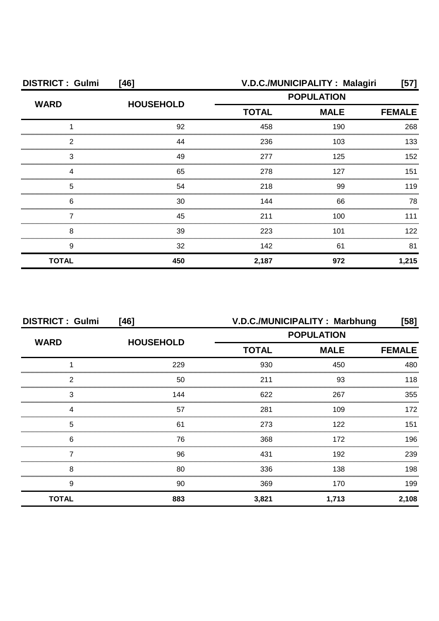| <b>DISTRICT: Gulmi</b> | $[46]$           | V.D.C./MUNICIPALITY: Malagiri<br>[57] |                   |       |
|------------------------|------------------|---------------------------------------|-------------------|-------|
| <b>WARD</b>            |                  |                                       | <b>POPULATION</b> |       |
|                        | <b>HOUSEHOLD</b> | <b>TOTAL</b><br><b>MALE</b>           | <b>FEMALE</b>     |       |
|                        | 92               | 458                                   | 190               | 268   |
| 2                      | 44               | 236                                   | 103               | 133   |
| 3                      | 49               | 277                                   | 125               | 152   |
|                        | 65               | 278                                   | 127               | 151   |
| 5                      | 54               | 218                                   | 99                | 119   |
| 6                      | 30               | 144                                   | 66                | 78    |
|                        | 45               | 211                                   | 100               | 111   |
| 8                      | 39               | 223                                   | 101               | 122   |
| 9                      | 32               | 142                                   | 61                | 81    |
| <b>TOTAL</b>           | 450              | 2,187                                 | 972               | 1,215 |

| <b>DISTRICT: Gulmi</b><br>$[46]$ |                  | V.D.C./MUNICIPALITY: Marbhung<br>[58] |             |               |
|----------------------------------|------------------|---------------------------------------|-------------|---------------|
| <b>WARD</b>                      |                  | <b>POPULATION</b>                     |             |               |
|                                  | <b>HOUSEHOLD</b> | <b>TOTAL</b>                          | <b>MALE</b> | <b>FEMALE</b> |
|                                  | 229              | 930                                   | 450         | 480           |
| っ                                | 50               | 211                                   | 93          | 118           |
| 3                                | 144              | 622                                   | 267         | 355           |
|                                  | 57               | 281                                   | 109         | 172           |
| 5                                | 61               | 273                                   | 122         | 151           |
| 6                                | 76               | 368                                   | 172         | 196           |
|                                  | 96               | 431                                   | 192         | 239           |
| 8                                | 80               | 336                                   | 138         | 198           |
| 9                                | 90               | 369                                   | 170         | 199           |
| <b>TOTAL</b>                     | 883              | 3,821                                 | 1,713       | 2,108         |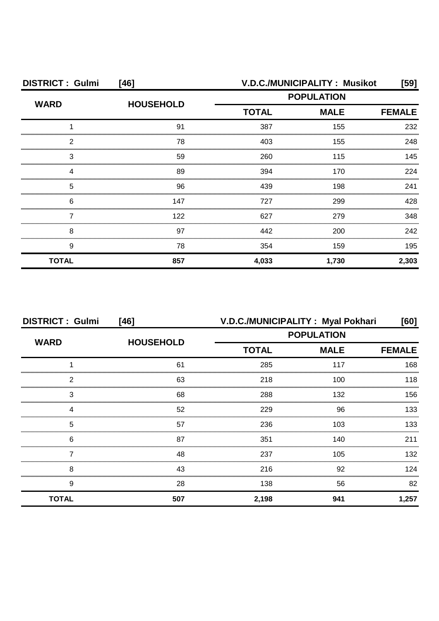| <b>DISTRICT: Gulmi</b> | $[46]$           | V.D.C./MUNICIPALITY: Musikot<br>[59] |               |       |
|------------------------|------------------|--------------------------------------|---------------|-------|
| <b>WARD</b>            | <b>HOUSEHOLD</b> | <b>POPULATION</b>                    |               |       |
|                        |                  | <b>TOTAL</b><br><b>MALE</b>          | <b>FEMALE</b> |       |
|                        | 91               | 387                                  | 155           | 232   |
| 2                      | 78               | 403                                  | 155           | 248   |
| З                      | 59               | 260                                  | 115           | 145   |
|                        | 89               | 394                                  | 170           | 224   |
| 5                      | 96               | 439                                  | 198           | 241   |
| 6                      | 147              | 727                                  | 299           | 428   |
|                        | 122              | 627                                  | 279           | 348   |
| 8                      | 97               | 442                                  | 200           | 242   |
| 9                      | 78               | 354                                  | 159           | 195   |
| <b>TOTAL</b>           | 857              | 4,033                                | 1,730         | 2,303 |

| <b>DISTRICT: Gulmi</b> | $[46]$           | V.D.C./MUNICIPALITY: Myal Pokhari                |               | [60]  |
|------------------------|------------------|--------------------------------------------------|---------------|-------|
| <b>WARD</b>            |                  | <b>POPULATION</b><br><b>TOTAL</b><br><b>MALE</b> |               |       |
|                        | <b>HOUSEHOLD</b> |                                                  | <b>FEMALE</b> |       |
|                        | 61               | 285                                              | 117           | 168   |
| 2                      | 63               | 218                                              | 100           | 118   |
| 3                      | 68               | 288                                              | 132           | 156   |
| Δ                      | 52               | 229                                              | 96            | 133   |
| 5                      | 57               | 236                                              | 103           | 133   |
| 6                      | 87               | 351                                              | 140           | 211   |
|                        | 48               | 237                                              | 105           | 132   |
| 8                      | 43               | 216                                              | 92            | 124   |
| 9                      | 28               | 138                                              | 56            | 82    |
| <b>TOTAL</b>           | 507              | 2,198                                            | 941           | 1,257 |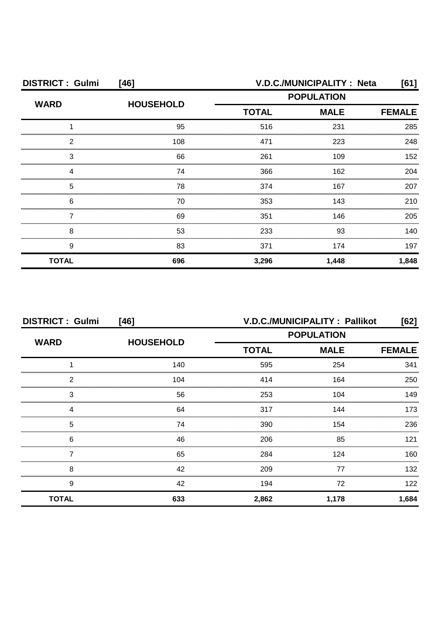| <b>DISTRICT: Gulmi</b><br>$[46]$ |                  | V.D.C./MUNICIPALITY : Neta<br>[61] |             |               |
|----------------------------------|------------------|------------------------------------|-------------|---------------|
| <b>WARD</b>                      | <b>HOUSEHOLD</b> | <b>POPULATION</b>                  |             |               |
|                                  |                  | <b>TOTAL</b>                       | <b>MALE</b> | <b>FEMALE</b> |
|                                  | 95               | 516                                | 231         | 285           |
| 2                                | 108              | 471                                | 223         | 248           |
| 3                                | 66               | 261                                | 109         | 152           |
| Δ                                | 74               | 366                                | 162         | 204           |
| 5                                | 78               | 374                                | 167         | 207           |
| 6                                | 70               | 353                                | 143         | 210           |
|                                  | 69               | 351                                | 146         | 205           |
| 8                                | 53               | 233                                | 93          | 140           |
| 9                                | 83               | 371                                | 174         | 197           |
| <b>TOTAL</b>                     | 696              | 3,296                              | 1,448       | 1,848         |

| <b>DISTRICT: Gulmi</b><br>$[46]$ |                  | V.D.C./MUNICIPALITY: Pallikot<br>[62] |             |               |
|----------------------------------|------------------|---------------------------------------|-------------|---------------|
| <b>WARD</b>                      |                  | <b>POPULATION</b>                     |             |               |
|                                  | <b>HOUSEHOLD</b> | <b>TOTAL</b>                          | <b>MALE</b> | <b>FEMALE</b> |
|                                  | 140              | 595                                   | 254         | 341           |
| っ                                | 104              | 414                                   | 164         | 250           |
| 3                                | 56               | 253                                   | 104         | 149           |
|                                  | 64               | 317                                   | 144         | 173           |
| 5                                | 74               | 390                                   | 154         | 236           |
| 6                                | 46               | 206                                   | 85          | 121           |
|                                  | 65               | 284                                   | 124         | 160           |
| 8                                | 42               | 209                                   | 77          | 132           |
| 9                                | 42               | 194                                   | 72          | 122           |
| <b>TOTAL</b>                     | 633              | 2,862                                 | 1,178       | 1,684         |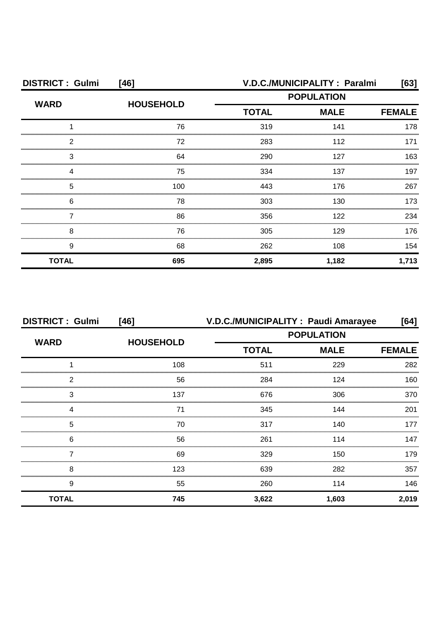| <b>DISTRICT: Gulmi</b> | $[46]$           | V.D.C./MUNICIPALITY: Paralmi<br>[63] |             |       |
|------------------------|------------------|--------------------------------------|-------------|-------|
| <b>WARD</b>            | <b>HOUSEHOLD</b> | <b>POPULATION</b>                    |             |       |
|                        |                  | <b>TOTAL</b>                         | <b>MALE</b> |       |
|                        | 76               | 319                                  | 141         | 178   |
| 2                      | 72               | 283                                  | 112         | 171   |
| 3                      | 64               | 290                                  | 127         | 163   |
|                        | 75               | 334                                  | 137         | 197   |
| 5                      | 100              | 443                                  | 176         | 267   |
| 6                      | 78               | 303                                  | 130         | 173   |
|                        | 86               | 356                                  | 122         | 234   |
| 8                      | 76               | 305                                  | 129         | 176   |
| 9                      | 68               | 262                                  | 108         | 154   |
| <b>TOTAL</b>           | 695              | 2,895                                | 1,182       | 1,713 |

| <b>DISTRICT: Gulmi</b> | $[46]$           |              | V.D.C./MUNICIPALITY: Paudi Amarayee | [64]          |
|------------------------|------------------|--------------|-------------------------------------|---------------|
| <b>WARD</b>            |                  |              | <b>POPULATION</b>                   |               |
|                        | <b>HOUSEHOLD</b> | <b>TOTAL</b> | <b>MALE</b>                         | <b>FEMALE</b> |
|                        | 108              | 511          | 229                                 | 282           |
| 2                      | 56               | 284          | 124                                 | 160           |
| 3                      | 137              | 676          | 306                                 | 370           |
|                        | 71               | 345          | 144                                 | 201           |
| 5                      | 70               | 317          | 140                                 | 177           |
| 6                      | 56               | 261          | 114                                 | 147           |
|                        | 69               | 329          | 150                                 | 179           |
| 8                      | 123              | 639          | 282                                 | 357           |
| 9                      | 55               | 260          | 114                                 | 146           |
| <b>TOTAL</b>           | 745              | 3,622        | 1,603                               | 2,019         |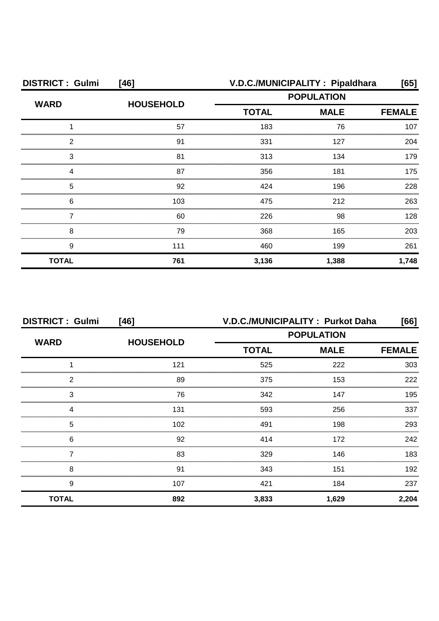| <b>DISTRICT: Gulmi</b><br>[46] |                  | V.D.C./MUNICIPALITY: Pipaldhara<br>[65] |                              |       |
|--------------------------------|------------------|-----------------------------------------|------------------------------|-------|
| <b>WARD</b>                    | <b>HOUSEHOLD</b> | <b>POPULATION</b>                       |                              |       |
|                                |                  | <b>TOTAL</b>                            | <b>MALE</b><br><b>FEMALE</b> |       |
|                                | 57               | 183                                     | 76                           | 107   |
| 2                              | 91               | 331                                     | 127                          | 204   |
| 3                              | 81               | 313                                     | 134                          | 179   |
|                                | 87               | 356                                     | 181                          | 175   |
| 5                              | 92               | 424                                     | 196                          | 228   |
| 6                              | 103              | 475                                     | 212                          | 263   |
|                                | 60               | 226                                     | 98                           | 128   |
| 8                              | 79               | 368                                     | 165                          | 203   |
| 9                              | 111              | 460                                     | 199                          | 261   |
| <b>TOTAL</b>                   | 761              | 3,136                                   | 1,388                        | 1,748 |

| <b>DISTRICT: Gulmi</b><br>$[46]$ |                  | V.D.C./MUNICIPALITY: Purkot Daha<br>[66] |                   |               |
|----------------------------------|------------------|------------------------------------------|-------------------|---------------|
| <b>WARD</b>                      | <b>HOUSEHOLD</b> |                                          | <b>POPULATION</b> |               |
|                                  |                  | <b>TOTAL</b>                             | <b>MALE</b>       | <b>FEMALE</b> |
|                                  | 121              | 525                                      | 222               | 303           |
| っ                                | 89               | 375                                      | 153               | 222           |
| 3                                | 76               | 342                                      | 147               | 195           |
|                                  | 131              | 593                                      | 256               | 337           |
| 5                                | 102              | 491                                      | 198               | 293           |
| 6                                | 92               | 414                                      | 172               | 242           |
|                                  | 83               | 329                                      | 146               | 183           |
| 8                                | 91               | 343                                      | 151               | 192           |
| 9                                | 107              | 421                                      | 184               | 237           |
| <b>TOTAL</b>                     | 892              | 3,833                                    | 1,629             | 2,204         |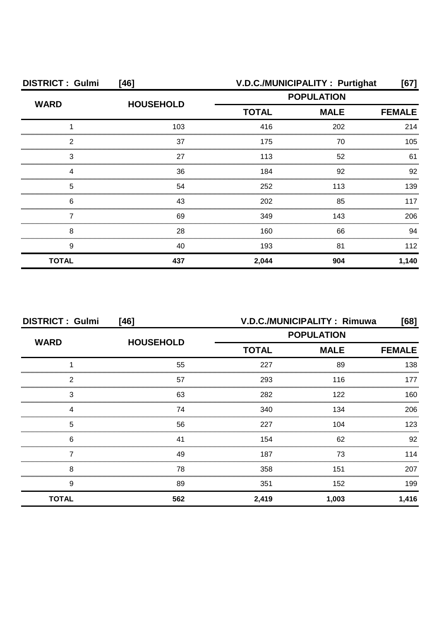| <b>DISTRICT: Gulmi</b><br>$[46]$ |                  |                             | V.D.C./MUNICIPALITY: Purtighat | [67]          |
|----------------------------------|------------------|-----------------------------|--------------------------------|---------------|
| <b>WARD</b>                      | <b>HOUSEHOLD</b> | <b>POPULATION</b>           |                                |               |
|                                  |                  | <b>TOTAL</b><br><b>MALE</b> |                                | <b>FEMALE</b> |
|                                  | 103              | 416                         | 202                            | 214           |
| 2                                | 37               | 175                         | 70                             | 105           |
| 3                                | 27               | 113                         | 52                             | 61            |
|                                  | 36               | 184                         | 92                             | 92            |
| 5                                | 54               | 252                         | 113                            | 139           |
| 6                                | 43               | 202                         | 85                             | 117           |
|                                  | 69               | 349                         | 143                            | 206           |
| 8                                | 28               | 160                         | 66                             | 94            |
| 9                                | 40               | 193                         | 81                             | 112           |
| <b>TOTAL</b>                     | 437              | 2,044                       | 904                            | 1,140         |

| <b>DISTRICT: Gulmi</b><br>$[46]$ |                  | V.D.C./MUNICIPALITY: Rimuwa<br>[68] |       |               |
|----------------------------------|------------------|-------------------------------------|-------|---------------|
| <b>WARD</b>                      |                  | <b>POPULATION</b>                   |       |               |
|                                  | <b>HOUSEHOLD</b> | <b>TOTAL</b><br><b>MALE</b>         |       | <b>FEMALE</b> |
|                                  | 55               | 227                                 | 89    | 138           |
| 2                                | 57               | 293                                 | 116   | 177           |
| 3                                | 63               | 282                                 | 122   | 160           |
|                                  | 74               | 340                                 | 134   | 206           |
| 5                                | 56               | 227                                 | 104   | 123           |
| 6                                | 41               | 154                                 | 62    | 92            |
|                                  | 49               | 187                                 | 73    | 114           |
| 8                                | 78               | 358                                 | 151   | 207           |
| 9                                | 89               | 351                                 | 152   | 199           |
| <b>TOTAL</b>                     | 562              | 2,419                               | 1,003 | 1,416         |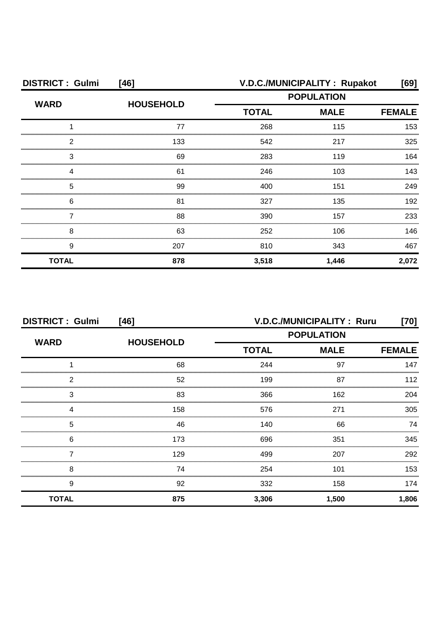| <b>DISTRICT: Gulmi</b> | [46]             |                   | V.D.C./MUNICIPALITY: Rupakot | [69]  |
|------------------------|------------------|-------------------|------------------------------|-------|
| <b>WARD</b>            | <b>HOUSEHOLD</b> | <b>POPULATION</b> |                              |       |
|                        |                  | <b>TOTAL</b>      | <b>FEMALE</b>                |       |
|                        | 77               | 268               | 115                          | 153   |
| 2                      | 133              | 542               | 217                          | 325   |
| З                      | 69               | 283               | 119                          | 164   |
|                        | 61               | 246               | 103                          | 143   |
| 5                      | 99               | 400               | 151                          | 249   |
| 6                      | 81               | 327               | 135                          | 192   |
|                        | 88               | 390               | 157                          | 233   |
| 8                      | 63               | 252               | 106                          | 146   |
| 9                      | 207              | 810               | 343                          | 467   |
| <b>TOTAL</b>           | 878              | 3,518             | 1,446                        | 2,072 |

| <b>DISTRICT: Gulmi</b><br>$[46]$ |                  |                   | V.D.C./MUNICIPALITY: Ruru | [70]          |
|----------------------------------|------------------|-------------------|---------------------------|---------------|
|                                  |                  | <b>POPULATION</b> |                           |               |
| <b>WARD</b>                      | <b>HOUSEHOLD</b> | <b>TOTAL</b>      | <b>MALE</b>               | <b>FEMALE</b> |
|                                  | 68               | 244               | 97                        | 147           |
| 2                                | 52               | 199               | 87                        | 12            |
| 3                                | 83               | 366               | 162                       | 204           |
|                                  | 158              | 576               | 271                       | 305           |
| 5                                | 46               | 140               | 66                        | 74            |
| 6                                | 173              | 696               | 351                       | 345           |
|                                  | 129              | 499               | 207                       | 292           |
| 8                                | 74               | 254               | 101                       | 153           |
| 9                                | 92               | 332               | 158                       | 174           |
| <b>TOTAL</b>                     | 875              | 3,306             | 1,500                     | 1,806         |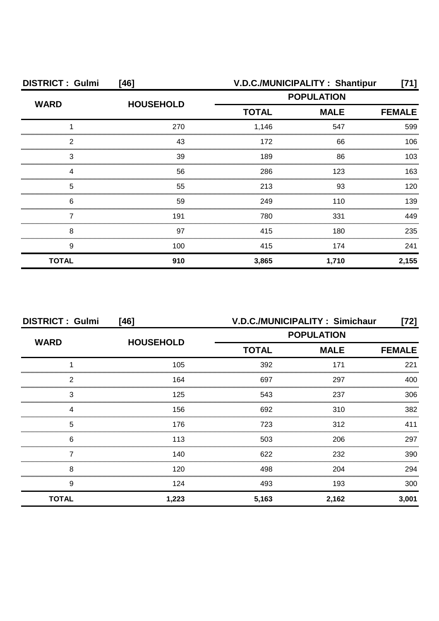| <b>DISTRICT: Gulmi</b><br>[46] |                  | V.D.C./MUNICIPALITY: Shantipur<br>[71] |                   |       |  |
|--------------------------------|------------------|----------------------------------------|-------------------|-------|--|
| <b>WARD</b>                    | <b>HOUSEHOLD</b> |                                        | <b>POPULATION</b> |       |  |
|                                |                  | <b>TOTAL</b>                           | <b>MALE</b>       |       |  |
|                                | 270              | 1,146                                  | 547               | 599   |  |
| 2                              | 43               | 172                                    | 66                | 106   |  |
| З                              | 39               | 189                                    | 86                | 103   |  |
|                                | 56               | 286                                    | 123               | 163   |  |
| 5                              | 55               | 213                                    | 93                | 120   |  |
| 6                              | 59               | 249                                    | 110               | 139   |  |
|                                | 191              | 780                                    | 331               | 449   |  |
| 8                              | 97               | 415                                    | 180               | 235   |  |
| 9                              | 100              | 415                                    | 174               | 241   |  |
| <b>TOTAL</b>                   | 910              | 3,865                                  | 1,710             | 2,155 |  |

| <b>DISTRICT: Gulmi</b><br>$[46]$ |                  | V.D.C./MUNICIPALITY: Simichaur<br>72] |             |       |
|----------------------------------|------------------|---------------------------------------|-------------|-------|
| <b>WARD</b>                      |                  | <b>POPULATION</b>                     |             |       |
|                                  | <b>HOUSEHOLD</b> | <b>TOTAL</b>                          | <b>MALE</b> |       |
|                                  | 105              | 392                                   | 171         | 221   |
| 2                                | 164              | 697                                   | 297         | 400   |
| 3                                | 125              | 543                                   | 237         | 306   |
|                                  | 156              | 692                                   | 310         | 382   |
| 5                                | 176              | 723                                   | 312         | 411   |
| 6                                | 113              | 503                                   | 206         | 297   |
|                                  | 140              | 622                                   | 232         | 390   |
| 8                                | 120              | 498                                   | 204         | 294   |
| 9                                | 124              | 493                                   | 193         | 300   |
| <b>TOTAL</b>                     | 1,223            | 5,163                                 | 2,162       | 3,001 |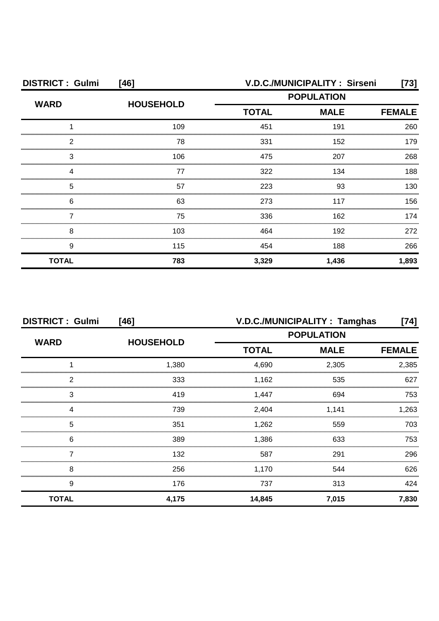| <b>DISTRICT: Gulmi</b> | $[46]$           | V.D.C./MUNICIPALITY: Sirseni<br>[73] |             |               |
|------------------------|------------------|--------------------------------------|-------------|---------------|
|                        | <b>HOUSEHOLD</b> | <b>POPULATION</b>                    |             |               |
| <b>WARD</b>            |                  | <b>TOTAL</b>                         | <b>MALE</b> | <b>FEMALE</b> |
|                        | 109              | 451                                  | 191         | 260           |
| 2                      | 78               | 331                                  | 152         | 179           |
| З                      | 106              | 475                                  | 207         | 268           |
|                        | 77               | 322                                  | 134         | 188           |
| 5                      | 57               | 223                                  | 93          | 130           |
| 6                      | 63               | 273                                  | 117         | 156           |
|                        | 75               | 336                                  | 162         | 174           |
| 8                      | 103              | 464                                  | 192         | 272           |
| 9                      | 115              | 454                                  | 188         | 266           |
| <b>TOTAL</b>           | 783              | 3,329                                | 1,436       | 1,893         |

| <b>DISTRICT: Gulmi</b> | $[46]$           | V.D.C./MUNICIPALITY: Tamghas<br>[74] |             |               |
|------------------------|------------------|--------------------------------------|-------------|---------------|
| <b>WARD</b>            | <b>HOUSEHOLD</b> | <b>POPULATION</b>                    |             |               |
|                        |                  | <b>TOTAL</b>                         | <b>MALE</b> | <b>FEMALE</b> |
|                        | 1,380            | 4,690                                | 2,305       | 2,385         |
| 2                      | 333              | 1,162                                | 535         | 627           |
| 3                      | 419              | 1,447                                | 694         | 753           |
|                        | 739              | 2,404                                | 1,141       | 1.263         |
| 5                      | 351              | 1,262                                | 559         | 703           |
| 6                      | 389              | 1,386                                | 633         | 753.          |
|                        | 132              | 587                                  | 291         | 296           |
| 8                      | 256              | 1,170                                | 544         | 626           |
| 9                      | 176              | 737                                  | 313         | 424           |
| <b>TOTAL</b>           | 4,175            | 14,845                               | 7,015       | 7,830         |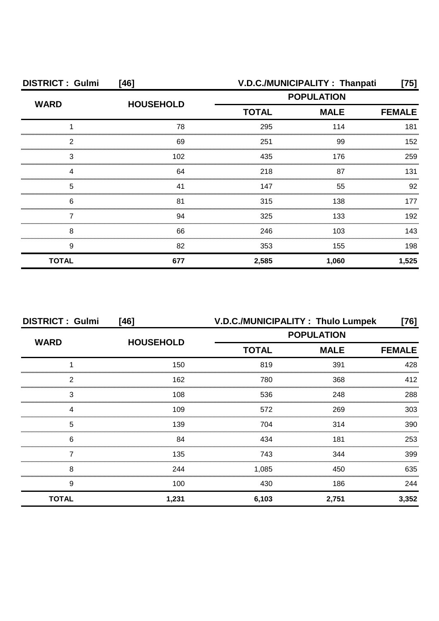| <b>DISTRICT: Gulmi</b><br>$[46]$ |                  | V.D.C./MUNICIPALITY: Thanpati<br>[75] |             |               |
|----------------------------------|------------------|---------------------------------------|-------------|---------------|
|                                  | <b>HOUSEHOLD</b> | <b>POPULATION</b>                     |             |               |
| <b>WARD</b>                      |                  | <b>TOTAL</b>                          | <b>MALE</b> | <b>FEMALE</b> |
|                                  | 78               | 295                                   | 114         | 181           |
| 2                                | 69               | 251                                   | 99          | 152           |
| 3                                | 102              | 435                                   | 176         | 259           |
|                                  | 64               | 218                                   | 87          | 131           |
| 5                                | 41               | 147                                   | 55          | 92            |
| 6                                | 81               | 315                                   | 138         | 177           |
|                                  | 94               | 325                                   | 133         | 192           |
| 8                                | 66               | 246                                   | 103         | 143           |
| 9                                | 82               | 353                                   | 155         | 198           |
| <b>TOTAL</b>                     | 677              | 2,585                                 | 1,060       | 1,525         |

| <b>DISTRICT: Gulmi</b> | [46]             |                   | V.D.C./MUNICIPALITY: Thulo Lumpek | [76]          |
|------------------------|------------------|-------------------|-----------------------------------|---------------|
| <b>WARD</b>            |                  | <b>POPULATION</b> |                                   |               |
|                        | <b>HOUSEHOLD</b> | <b>TOTAL</b>      | <b>MALE</b>                       | <b>FEMALE</b> |
|                        | 150              | 819               | 391                               | 428           |
| 2                      | 162              | 780               | 368                               | 412           |
| 3                      | 108              | 536               | 248                               | 288           |
| Δ                      | 109              | 572               | 269                               | 303           |
| 5                      | 139              | 704               | 314                               | 390           |
| 6                      | 84               | 434               | 181                               | 253           |
|                        | 135              | 743               | 344                               | 399           |
| 8                      | 244              | 1,085             | 450                               | 635           |
| 9                      | 100              | 430               | 186                               | 244           |
| <b>TOTAL</b>           | 1,231            | 6,103             | 2,751                             | 3,352         |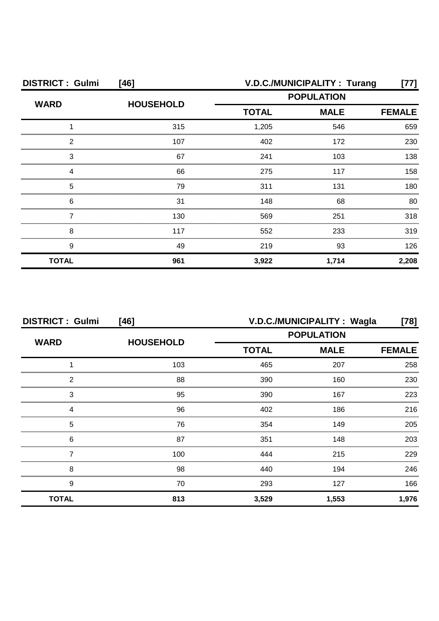| <b>DISTRICT: Gulmi</b> | [46]             | V.D.C./MUNICIPALITY: Turang |             |               |
|------------------------|------------------|-----------------------------|-------------|---------------|
|                        | <b>HOUSEHOLD</b> | <b>POPULATION</b>           |             |               |
| <b>WARD</b>            |                  | <b>TOTAL</b>                | <b>MALE</b> | <b>FEMALE</b> |
|                        | 315              | 1,205                       | 546         | 659           |
| 2                      | 107              | 402                         | 172         | 230           |
| З                      | 67               | 241                         | 103         | 138           |
|                        | 66               | 275                         | 117         | 158           |
| 5                      | 79               | 311                         | 131         | 180           |
| 6                      | 31               | 148                         | 68          | 80            |
|                        | 130              | 569                         | 251         | 318           |
| 8                      | 117              | 552                         | 233         | 319           |
| 9                      | 49               | 219                         | 93          | 126           |
| <b>TOTAL</b>           | 961              | 3,922                       | 1,714       | 2,208         |

| <b>DISTRICT: Gulmi</b> | [46]             | V.D.C./MUNICIPALITY: Wagla<br>$[78]$ |             |               |  |
|------------------------|------------------|--------------------------------------|-------------|---------------|--|
|                        | <b>HOUSEHOLD</b> | <b>POPULATION</b>                    |             |               |  |
| <b>WARD</b>            |                  | <b>TOTAL</b>                         | <b>MALE</b> | <b>FEMALE</b> |  |
|                        | 103              | 465                                  | 207         | 258           |  |
| 2                      | 88               | 390                                  | 160         | 230           |  |
| 3                      | 95               | 390                                  | 167         | 223           |  |
| Δ                      | 96               | 402                                  | 186         | 216           |  |
| 5                      | 76               | 354                                  | 149         | 205           |  |
| 6                      | 87               | 351                                  | 148         | 203           |  |
|                        | 100              | 444                                  | 215         | 229           |  |
| 8                      | 98               | 440                                  | 194         | 246           |  |
| 9                      | 70               | 293                                  | 127         | 166           |  |
| <b>TOTAL</b>           | 813              | 3,529                                | 1,553       | 1,976         |  |